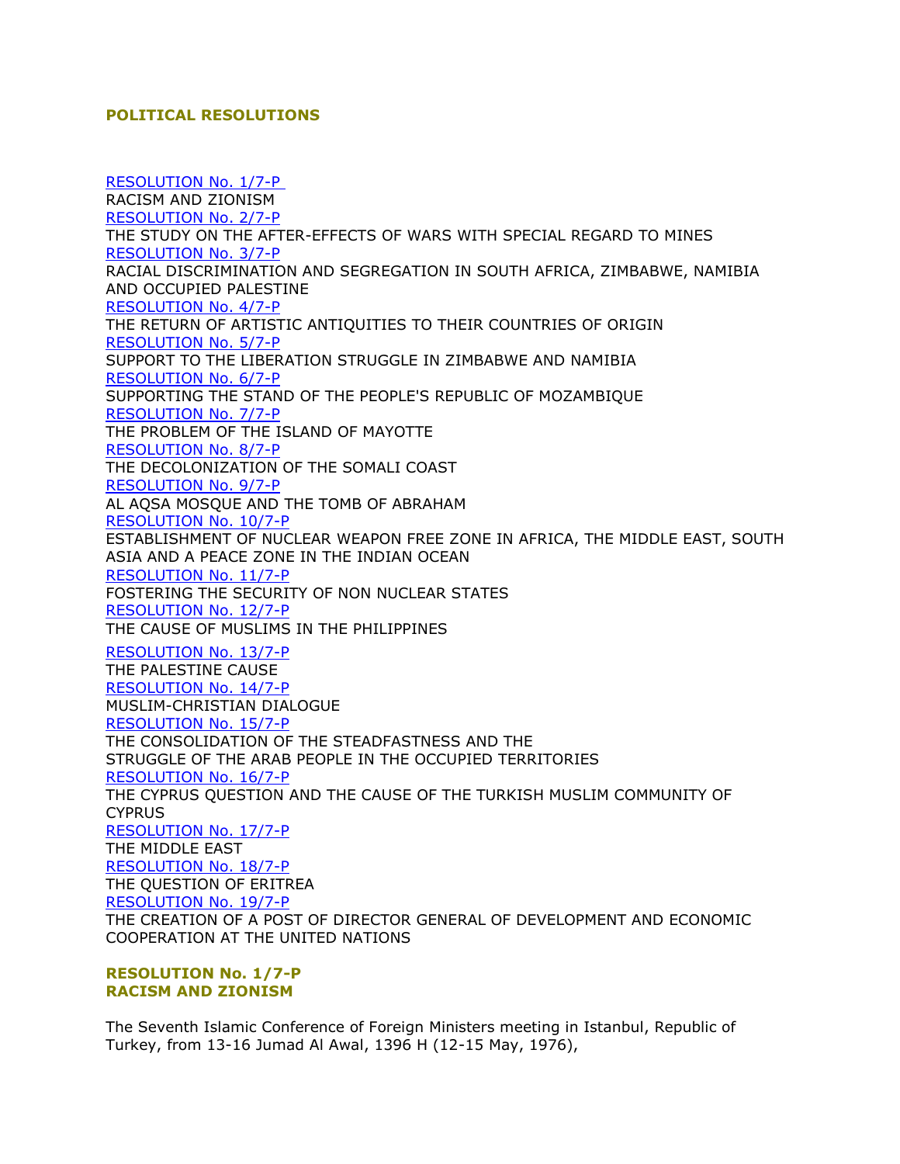# **POLITICAL RESOLUTIONS**

[RESOLUTION No. 1/7-P](http://ww1.oic-oci.org/english/conf/fm/All%20Download/Frm.07.htm#RESOLUTION%20No.%201/7-P) RACISM AND ZIONISM [RESOLUTION No. 2/7-P](http://ww1.oic-oci.org/english/conf/fm/All%20Download/Frm.07.htm#RESOLUTION%20No.%202/7-P) THE STUDY ON THE AFTER-EFFECTS OF WARS WITH SPECIAL REGARD TO MINES [RESOLUTION No. 3/7-P](http://ww1.oic-oci.org/english/conf/fm/All%20Download/Frm.07.htm#RESOLUTION%20No.%203/7-P) RACIAL DISCRIMINATION AND SEGREGATION IN SOUTH AFRICA, ZIMBABWE, NAMIBIA AND OCCUPIED PALESTINE [RESOLUTION No. 4/7-P](http://ww1.oic-oci.org/english/conf/fm/All%20Download/Frm.07.htm#RESOLUTION%20No.%204/7-P) THE RETURN OF ARTISTIC ANTIQUITIES TO THEIR COUNTRIES OF ORIGIN [RESOLUTION No. 5/7-P](http://ww1.oic-oci.org/english/conf/fm/All%20Download/Frm.07.htm#RESOLUTION%20No.%205/7-P) SUPPORT TO THE LIBERATION STRUGGLE IN ZIMBABWE AND NAMIBIA [RESOLUTION No. 6/7-P](http://ww1.oic-oci.org/english/conf/fm/All%20Download/Frm.07.htm#RESOLUTION%20No.%206/7-P) SUPPORTING THE STAND OF THE PEOPLE'S REPUBLIC OF MOZAMBIQUE [RESOLUTION No. 7/7-P](http://ww1.oic-oci.org/english/conf/fm/All%20Download/Frm.07.htm#RESOLUTION%20No.%207/7-P) THE PROBLEM OF THE ISLAND OF MAYOTTE [RESOLUTION No. 8/7-P](http://ww1.oic-oci.org/english/conf/fm/All%20Download/Frm.07.htm#RESOLUTION%208/7-P) THE DECOLONIZATION OF THE SOMALI COAST [RESOLUTION No. 9/7-P](http://ww1.oic-oci.org/english/conf/fm/All%20Download/Frm.07.htm#RESOLUTION%20No.%209/7-P) AL AQSA MOSQUE AND THE TOMB OF ABRAHAM [RESOLUTION No. 10/7-P](http://ww1.oic-oci.org/english/conf/fm/All%20Download/Frm.07.htm#RESOLUTION%20No.%2010/7-P) ESTABLISHMENT OF NUCLEAR WEAPON FREE ZONE IN AFRICA, THE MIDDLE EAST, SOUTH ASIA AND A PEACE ZONE IN THE INDIAN OCEAN [RESOLUTION No. 11/7-P](http://ww1.oic-oci.org/english/conf/fm/All%20Download/Frm.07.htm#RESOLUTION%20No.%2011/7-P) FOSTERING THE SECURITY OF NON NUCLEAR STATES [RESOLUTION No. 12/7-P](http://ww1.oic-oci.org/english/conf/fm/All%20Download/Frm.07.htm#RESOLUTION%20No.%2012/7-P) THE CAUSE OF MUSLIMS IN THE PHILIPPINES [RESOLUTION No. 13/7-P](http://ww1.oic-oci.org/english/conf/fm/All%20Download/Frm.07.htm#RESOLUTION%20No.%2013/7-P) THE PALESTINE CAUSE [RESOLUTION No. 14/7-P](http://ww1.oic-oci.org/english/conf/fm/All%20Download/Frm.07.htm#RESOLUTION%20No.%2014/7-P) MUSLIM-CHRISTIAN DIALOGUE [RESOLUTION No. 15/7-P](http://ww1.oic-oci.org/english/conf/fm/All%20Download/Frm.07.htm#RESOLUTION%20No.%2015/7-P) THE CONSOLIDATION OF THE STEADFASTNESS AND THE STRUGGLE OF THE ARAB PEOPLE IN THE OCCUPIED TERRITORIES [RESOLUTION No. 16/7-P](http://ww1.oic-oci.org/english/conf/fm/All%20Download/Frm.07.htm#RESOLUTION%20No.%2016/7-P) THE CYPRUS QUESTION AND THE CAUSE OF THE TURKISH MUSLIM COMMUNITY OF **CYPRUS** [RESOLUTION No. 17/7-P](http://ww1.oic-oci.org/english/conf/fm/All%20Download/Frm.07.htm#RESOLUTION%20No.%2017/7-P) THE MIDDLE EAST [RESOLUTION No. 18/7-P](http://ww1.oic-oci.org/english/conf/fm/All%20Download/Frm.07.htm#RESOLUTION%20No.%2018/7-P) THE QUESTION OF ERITREA [RESOLUTION No. 19/7-P](http://ww1.oic-oci.org/english/conf/fm/All%20Download/Frm.07.htm#RESOLUTION%20No.%2019/7-P) THE CREATION OF A POST OF DIRECTOR GENERAL OF DEVELOPMENT AND ECONOMIC COOPERATION AT THE UNITED NATIONS

**RESOLUTION No. 1/7-P RACISM AND ZIONISM**

The Seventh Islamic Conference of Foreign Ministers meeting in Istanbul, Republic of Turkey, from 13-16 Jumad Al Awal, 1396 H (12-15 May, 1976),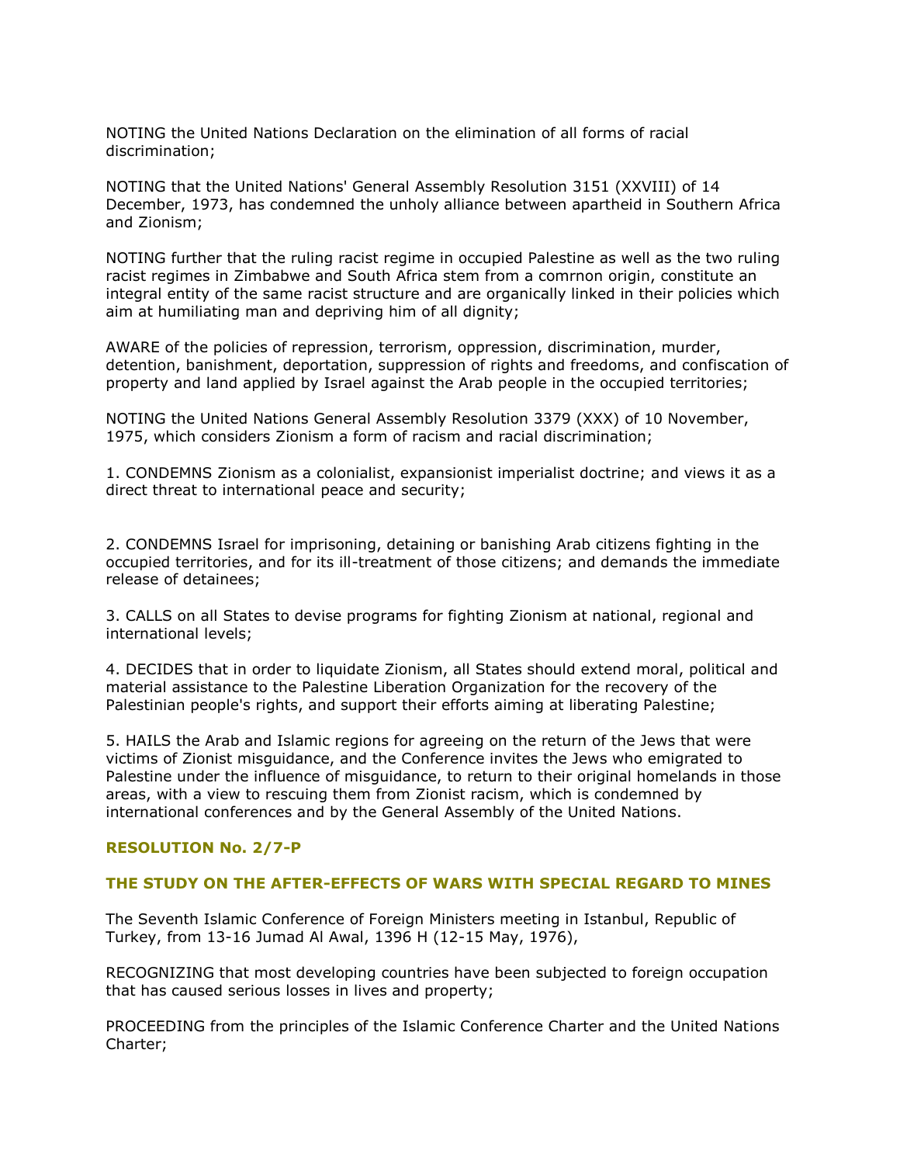NOTING the United Nations Declaration on the elimination of all forms of racial discrimination;

NOTING that the United Nations' General Assembly Resolution 3151 (XXVIII) of 14 December, 1973, has condemned the unholy alliance between apartheid in Southern Africa and Zionism;

NOTING further that the ruling racist regime in occupied Palestine as well as the two ruling racist regimes in Zimbabwe and South Africa stem from a comrnon origin, constitute an integral entity of the same racist structure and are organically linked in their policies which aim at humiliating man and depriving him of all dignity;

AWARE of the policies of repression, terrorism, oppression, discrimination, murder, detention, banishment, deportation, suppression of rights and freedoms, and confiscation of property and land applied by Israel against the Arab people in the occupied territories;

NOTING the United Nations General Assembly Resolution 3379 (XXX) of 10 November, 1975, which considers Zionism a form of racism and racial discrimination;

1. CONDEMNS Zionism as a colonialist, expansionist imperialist doctrine; and views it as a direct threat to international peace and security;

2. CONDEMNS Israel for imprisoning, detaining or banishing Arab citizens fighting in the occupied territories, and for its ill-treatment of those citizens; and demands the immediate release of detainees;

3. CALLS on all States to devise programs for fighting Zionism at national, regional and international levels;

4. DECIDES that in order to liquidate Zionism, all States should extend moral, political and material assistance to the Palestine Liberation Organization for the recovery of the Palestinian people's rights, and support their efforts aiming at liberating Palestine;

5. HAILS the Arab and Islamic regions for agreeing on the return of the Jews that were victims of Zionist misguidance, and the Conference invites the Jews who emigrated to Palestine under the influence of misguidance, to return to their original homelands in those areas, with a view to rescuing them from Zionist racism, which is condemned by international conferences and by the General Assembly of the United Nations.

# **RESOLUTION No. 2/7-P**

## **THE STUDY ON THE AFTER-EFFECTS OF WARS WITH SPECIAL REGARD TO MINES**

The Seventh Islamic Conference of Foreign Ministers meeting in Istanbul, Republic of Turkey, from 13-16 Jumad Al Awal, 1396 H (12-15 May, 1976),

RECOGNIZING that most developing countries have been subjected to foreign occupation that has caused serious losses in lives and property;

PROCEEDING from the principles of the Islamic Conference Charter and the United Nations Charter;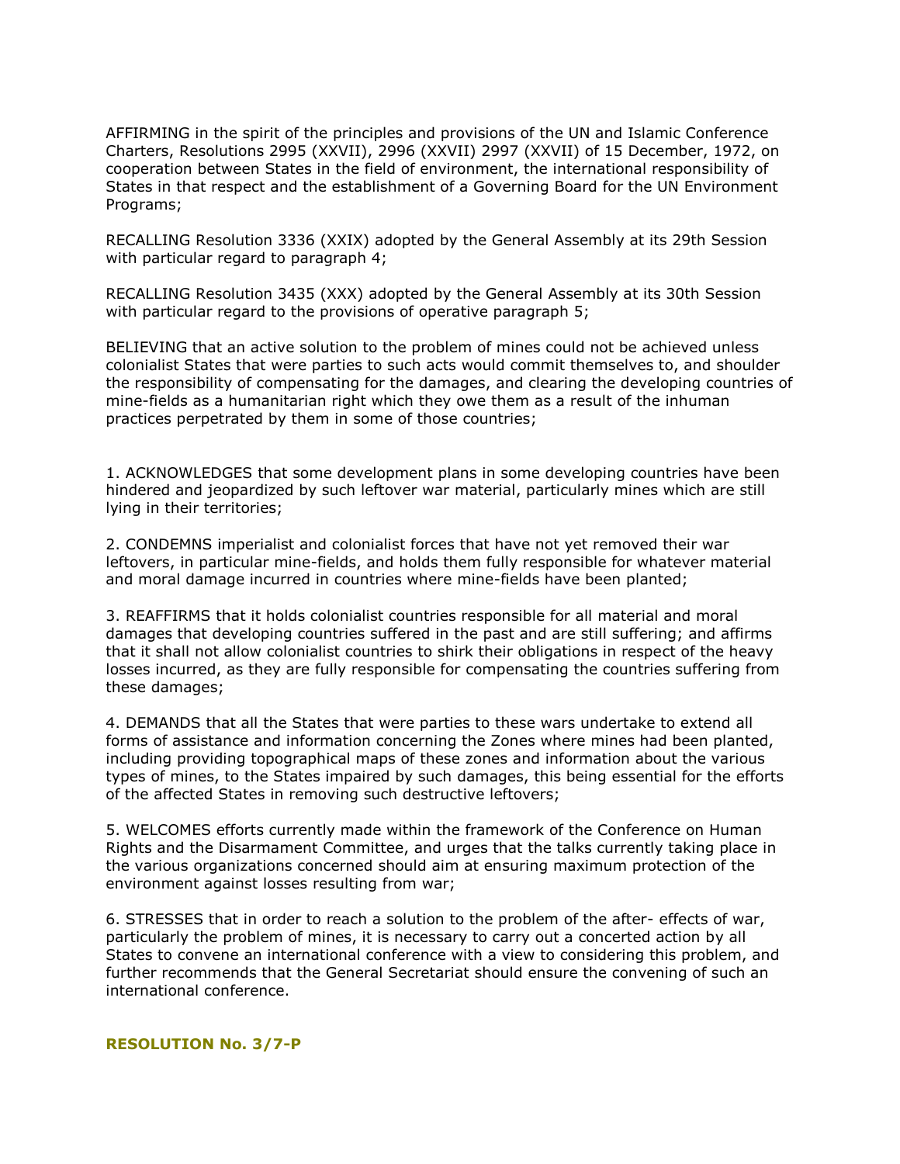AFFIRMING in the spirit of the principles and provisions of the UN and Islamic Conference Charters, Resolutions 2995 (XXVII), 2996 (XXVII) 2997 (XXVII) of 15 December, 1972, on cooperation between States in the field of environment, the international responsibility of States in that respect and the establishment of a Governing Board for the UN Environment Programs;

RECALLING Resolution 3336 (XXIX) adopted by the General Assembly at its 29th Session with particular regard to paragraph 4;

RECALLING Resolution 3435 (XXX) adopted by the General Assembly at its 30th Session with particular regard to the provisions of operative paragraph 5;

BELIEVING that an active solution to the problem of mines could not be achieved unless colonialist States that were parties to such acts would commit themselves to, and shoulder the responsibility of compensating for the damages, and clearing the developing countries of mine-fields as a humanitarian right which they owe them as a result of the inhuman practices perpetrated by them in some of those countries;

1. ACKNOWLEDGES that some development plans in some developing countries have been hindered and jeopardized by such leftover war material, particularly mines which are still lying in their territories;

2. CONDEMNS imperialist and colonialist forces that have not yet removed their war leftovers, in particular mine-fields, and holds them fully responsible for whatever material and moral damage incurred in countries where mine-fields have been planted;

3. REAFFIRMS that it holds colonialist countries responsible for all material and moral damages that developing countries suffered in the past and are still suffering; and affirms that it shall not allow colonialist countries to shirk their obligations in respect of the heavy losses incurred, as they are fully responsible for compensating the countries suffering from these damages;

4. DEMANDS that all the States that were parties to these wars undertake to extend all forms of assistance and information concerning the Zones where mines had been planted, including providing topographical maps of these zones and information about the various types of mines, to the States impaired by such damages, this being essential for the efforts of the affected States in removing such destructive leftovers;

5. WELCOMES efforts currently made within the framework of the Conference on Human Rights and the Disarmament Committee, and urges that the talks currently taking place in the various organizations concerned should aim at ensuring maximum protection of the environment against losses resulting from war;

6. STRESSES that in order to reach a solution to the problem of the after- effects of war, particularly the problem of mines, it is necessary to carry out a concerted action by all States to convene an international conference with a view to considering this problem, and further recommends that the General Secretariat should ensure the convening of such an international conference.

## **RESOLUTION No. 3/7-P**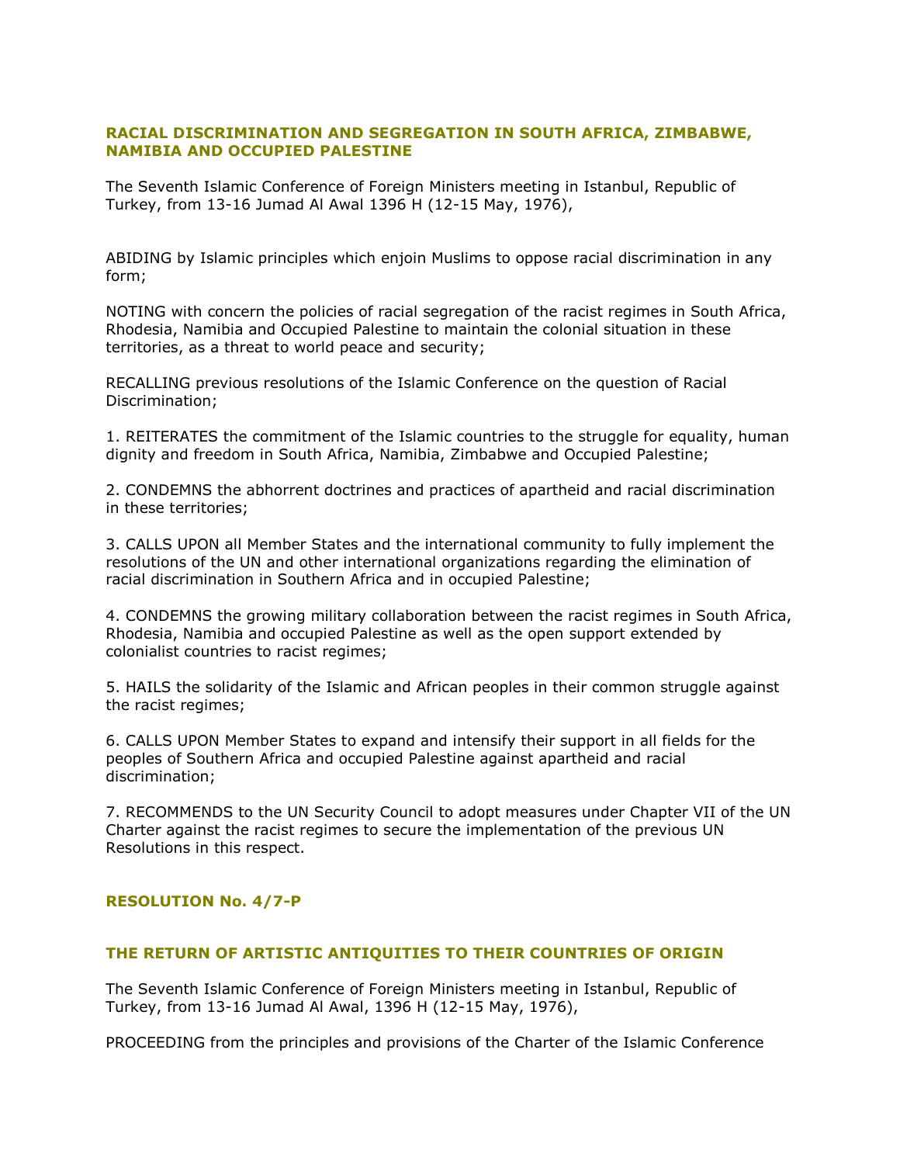# **RACIAL DISCRIMINATION AND SEGREGATION IN SOUTH AFRICA, ZIMBABWE, NAMIBIA AND OCCUPIED PALESTINE**

The Seventh Islamic Conference of Foreign Ministers meeting in Istanbul, Republic of Turkey, from 13-16 Jumad Al Awal 1396 H (12-15 May, 1976),

ABIDING by Islamic principles which enjoin Muslims to oppose racial discrimination in any form;

NOTING with concern the policies of racial segregation of the racist regimes in South Africa, Rhodesia, Namibia and Occupied Palestine to maintain the colonial situation in these territories, as a threat to world peace and security;

RECALLING previous resolutions of the Islamic Conference on the question of Racial Discrimination;

1. REITERATES the commitment of the Islamic countries to the struggle for equality, human dignity and freedom in South Africa, Namibia, Zimbabwe and Occupied Palestine;

2. CONDEMNS the abhorrent doctrines and practices of apartheid and racial discrimination in these territories;

3. CALLS UPON all Member States and the international community to fully implement the resolutions of the UN and other international organizations regarding the elimination of racial discrimination in Southern Africa and in occupied Palestine;

4. CONDEMNS the growing military collaboration between the racist regimes in South Africa, Rhodesia, Namibia and occupied Palestine as well as the open support extended by colonialist countries to racist regimes;

5. HAILS the solidarity of the Islamic and African peoples in their common struggle against the racist regimes;

6. CALLS UPON Member States to expand and intensify their support in all fields for the peoples of Southern Africa and occupied Palestine against apartheid and racial discrimination;

7. RECOMMENDS to the UN Security Council to adopt measures under Chapter VII of the UN Charter against the racist regimes to secure the implementation of the previous UN Resolutions in this respect.

# **RESOLUTION No. 4/7-P**

# **THE RETURN OF ARTISTIC ANTIQUITIES TO THEIR COUNTRIES OF ORIGIN**

The Seventh Islamic Conference of Foreign Ministers meeting in Istanbul, Republic of Turkey, from 13-16 Jumad Al Awal, 1396 H (12-15 May, 1976),

PROCEEDING from the principles and provisions of the Charter of the Islamic Conference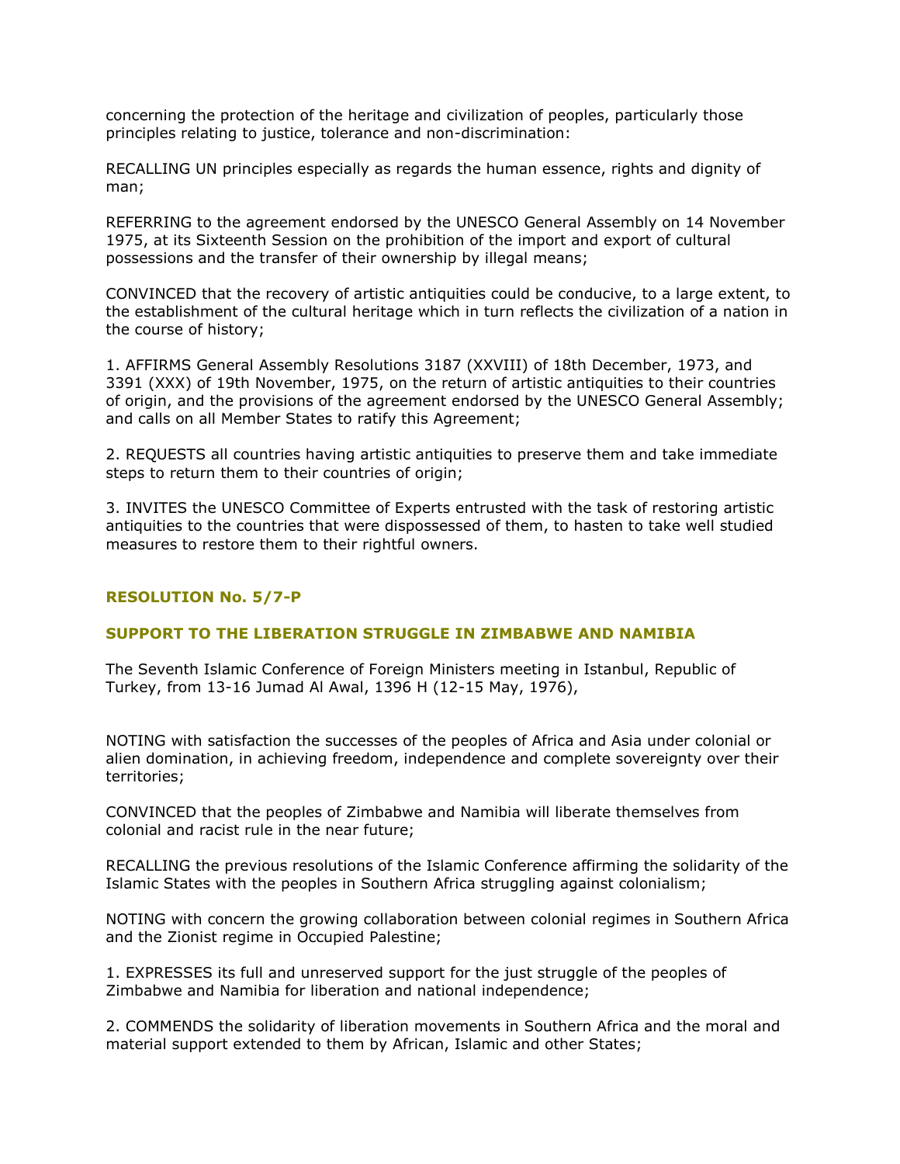concerning the protection of the heritage and civilization of peoples, particularly those principles relating to justice, tolerance and non-discrimination:

RECALLING UN principles especially as regards the human essence, rights and dignity of man;

REFERRING to the agreement endorsed by the UNESCO General Assembly on 14 November 1975, at its Sixteenth Session on the prohibition of the import and export of cultural possessions and the transfer of their ownership by illegal means;

CONVINCED that the recovery of artistic antiquities could be conducive, to a large extent, to the establishment of the cultural heritage which in turn reflects the civilization of a nation in the course of history;

1. AFFIRMS General Assembly Resolutions 3187 (XXVIII) of 18th December, 1973, and 3391 (XXX) of 19th November, 1975, on the return of artistic antiquities to their countries of origin, and the provisions of the agreement endorsed by the UNESCO General Assembly; and calls on all Member States to ratify this Agreement;

2. REQUESTS all countries having artistic antiquities to preserve them and take immediate steps to return them to their countries of origin;

3. INVITES the UNESCO Committee of Experts entrusted with the task of restoring artistic antiquities to the countries that were dispossessed of them, to hasten to take well studied measures to restore them to their rightful owners.

## **RESOLUTION No. 5/7-P**

## **SUPPORT TO THE LIBERATION STRUGGLE IN ZIMBABWE AND NAMIBIA**

The Seventh Islamic Conference of Foreign Ministers meeting in Istanbul, Republic of Turkey, from 13-16 Jumad Al Awal, 1396 H (12-15 May, 1976),

NOTING with satisfaction the successes of the peoples of Africa and Asia under colonial or alien domination, in achieving freedom, independence and complete sovereignty over their territories;

CONVINCED that the peoples of Zimbabwe and Namibia will liberate themselves from colonial and racist rule in the near future;

RECALLING the previous resolutions of the Islamic Conference affirming the solidarity of the Islamic States with the peoples in Southern Africa struggling against colonialism;

NOTING with concern the growing collaboration between colonial regimes in Southern Africa and the Zionist regime in Occupied Palestine;

1. EXPRESSES its full and unreserved support for the just struggle of the peoples of Zimbabwe and Namibia for liberation and national independence;

2. COMMENDS the solidarity of liberation movements in Southern Africa and the moral and material support extended to them by African, Islamic and other States;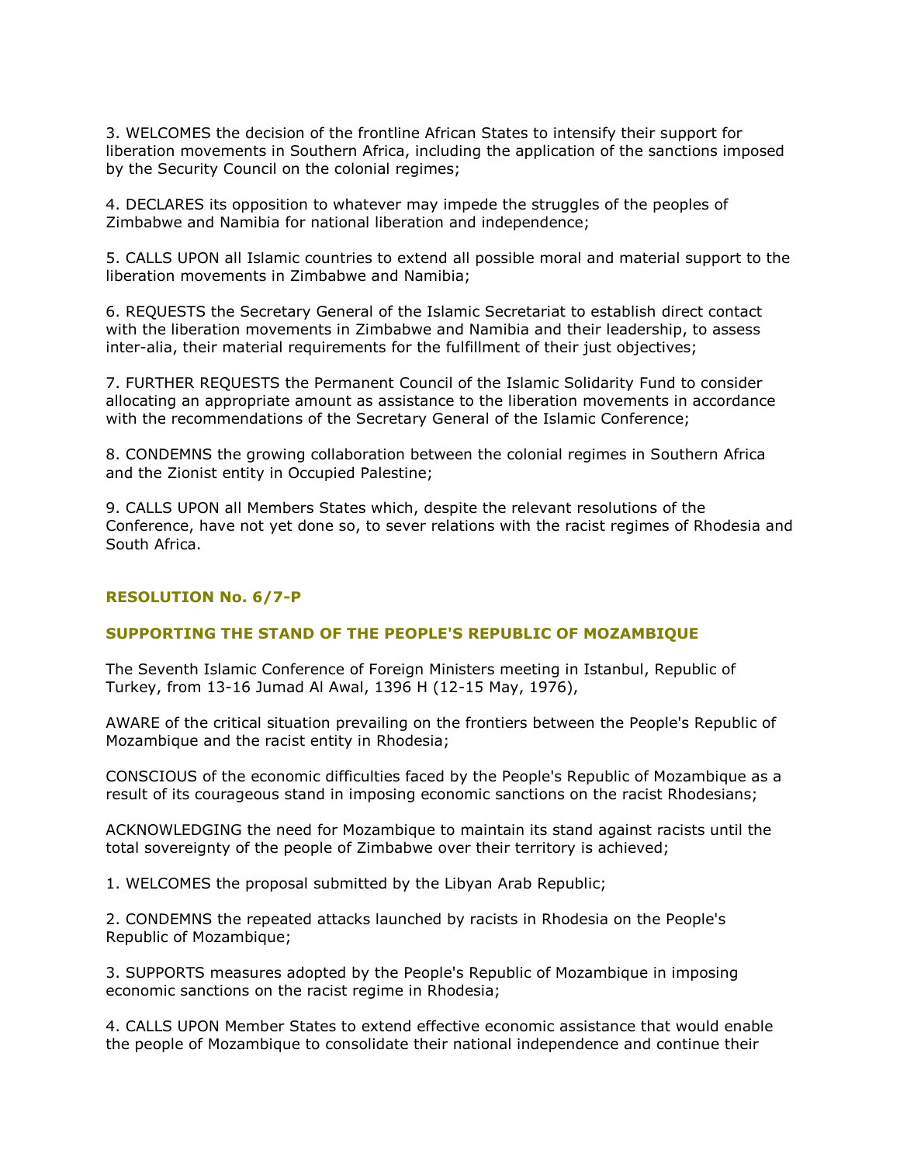3. WELCOMES the decision of the frontline African States to intensify their support for liberation movements in Southern Africa, including the application of the sanctions imposed by the Security Council on the colonial regimes;

4. DECLARES its opposition to whatever may impede the struggles of the peoples of Zimbabwe and Namibia for national liberation and independence;

5. CALLS UPON all Islamic countries to extend all possible moral and material support to the liberation movements in Zimbabwe and Namibia;

6. REQUESTS the Secretary General of the Islamic Secretariat to establish direct contact with the liberation movements in Zimbabwe and Namibia and their leadership, to assess inter-alia, their material requirements for the fulfillment of their just objectives;

7. FURTHER REQUESTS the Permanent Council of the Islamic Solidarity Fund to consider allocating an appropriate amount as assistance to the liberation movements in accordance with the recommendations of the Secretary General of the Islamic Conference;

8. CONDEMNS the growing collaboration between the colonial regimes in Southern Africa and the Zionist entity in Occupied Palestine;

9. CALLS UPON all Members States which, despite the relevant resolutions of the Conference, have not yet done so, to sever relations with the racist regimes of Rhodesia and South Africa.

## **RESOLUTION No. 6/7-P**

## **SUPPORTING THE STAND OF THE PEOPLE'S REPUBLIC OF MOZAMBIQUE**

The Seventh Islamic Conference of Foreign Ministers meeting in Istanbul, Republic of Turkey, from 13-16 Jumad Al Awal, 1396 H (12-15 May, 1976),

AWARE of the critical situation prevailing on the frontiers between the People's Republic of Mozambique and the racist entity in Rhodesia;

CONSCIOUS of the economic difficulties faced by the People's Republic of Mozambique as a result of its courageous stand in imposing economic sanctions on the racist Rhodesians;

ACKNOWLEDGING the need for Mozambique to maintain its stand against racists until the total sovereignty of the people of Zimbabwe over their territory is achieved;

1. WELCOMES the proposal submitted by the Libyan Arab Republic;

2. CONDEMNS the repeated attacks launched by racists in Rhodesia on the People's Republic of Mozambique;

3. SUPPORTS measures adopted by the People's Republic of Mozambique in imposing economic sanctions on the racist regime in Rhodesia;

4. CALLS UPON Member States to extend effective economic assistance that would enable the people of Mozambique to consolidate their national independence and continue their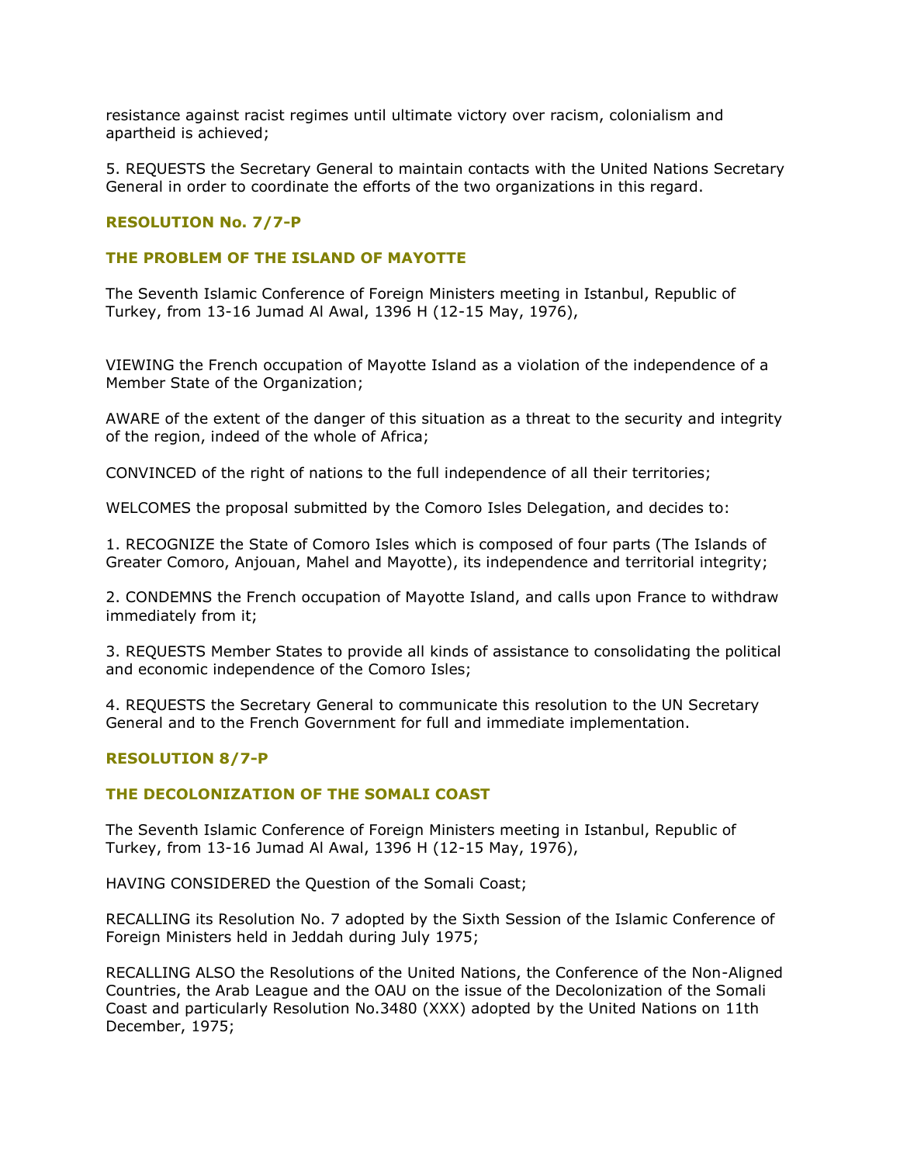resistance against racist regimes until ultimate victory over racism, colonialism and apartheid is achieved;

5. REQUESTS the Secretary General to maintain contacts with the United Nations Secretary General in order to coordinate the efforts of the two organizations in this regard.

# **RESOLUTION No. 7/7-P**

## **THE PROBLEM OF THE ISLAND OF MAYOTTE**

The Seventh Islamic Conference of Foreign Ministers meeting in Istanbul, Republic of Turkey, from 13-16 Jumad Al Awal, 1396 H (12-15 May, 1976),

VIEWING the French occupation of Mayotte Island as a violation of the independence of a Member State of the Organization;

AWARE of the extent of the danger of this situation as a threat to the security and integrity of the region, indeed of the whole of Africa;

CONVINCED of the right of nations to the full independence of all their territories;

WELCOMES the proposal submitted by the Comoro Isles Delegation, and decides to:

1. RECOGNIZE the State of Comoro Isles which is composed of four parts (The Islands of Greater Comoro, Anjouan, Mahel and Mayotte), its independence and territorial integrity;

2. CONDEMNS the French occupation of Mayotte Island, and calls upon France to withdraw immediately from it;

3. REQUESTS Member States to provide all kinds of assistance to consolidating the political and economic independence of the Comoro Isles;

4. REQUESTS the Secretary General to communicate this resolution to the UN Secretary General and to the French Government for full and immediate implementation.

## **RESOLUTION 8/7-P**

## **THE DECOLONIZATION OF THE SOMALI COAST**

The Seventh Islamic Conference of Foreign Ministers meeting in Istanbul, Republic of Turkey, from 13-16 Jumad Al Awal, 1396 H (12-15 May, 1976),

HAVING CONSIDERED the Question of the Somali Coast;

RECALLING its Resolution No. 7 adopted by the Sixth Session of the Islamic Conference of Foreign Ministers held in Jeddah during July 1975;

RECALLING ALSO the Resolutions of the United Nations, the Conference of the Non-Aligned Countries, the Arab League and the OAU on the issue of the Decolonization of the Somali Coast and particularly Resolution No.3480 (XXX) adopted by the United Nations on 11th December, 1975;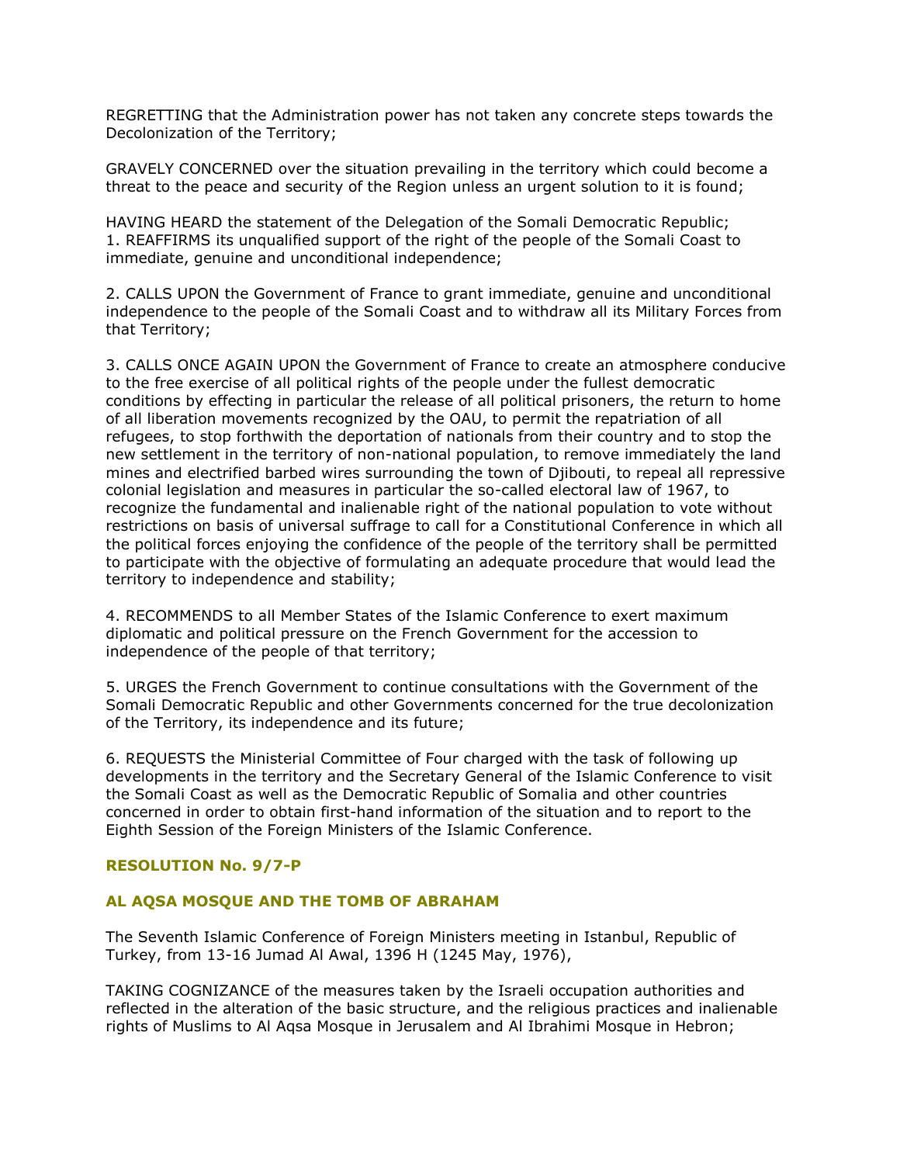REGRETTING that the Administration power has not taken any concrete steps towards the Decolonization of the Territory;

GRAVELY CONCERNED over the situation prevailing in the territory which could become a threat to the peace and security of the Region unless an urgent solution to it is found;

HAVING HEARD the statement of the Delegation of the Somali Democratic Republic; 1. REAFFIRMS its unqualified support of the right of the people of the Somali Coast to immediate, genuine and unconditional independence;

2. CALLS UPON the Government of France to grant immediate, genuine and unconditional independence to the people of the Somali Coast and to withdraw all its Military Forces from that Territory;

3. CALLS ONCE AGAIN UPON the Government of France to create an atmosphere conducive to the free exercise of all political rights of the people under the fullest democratic conditions by effecting in particular the release of all political prisoners, the return to home of all liberation movements recognized by the OAU, to permit the repatriation of all refugees, to stop forthwith the deportation of nationals from their country and to stop the new settlement in the territory of non-national population, to remove immediately the land mines and electrified barbed wires surrounding the town of Djibouti, to repeal all repressive colonial legislation and measures in particular the so-called electoral law of 1967, to recognize the fundamental and inalienable right of the national population to vote without restrictions on basis of universal suffrage to call for a Constitutional Conference in which all the political forces enjoying the confidence of the people of the territory shall be permitted to participate with the objective of formulating an adequate procedure that would lead the territory to independence and stability;

4. RECOMMENDS to all Member States of the Islamic Conference to exert maximum diplomatic and political pressure on the French Government for the accession to independence of the people of that territory;

5. URGES the French Government to continue consultations with the Government of the Somali Democratic Republic and other Governments concerned for the true decolonization of the Territory, its independence and its future;

6. REQUESTS the Ministerial Committee of Four charged with the task of following up developments in the territory and the Secretary General of the Islamic Conference to visit the Somali Coast as well as the Democratic Republic of Somalia and other countries concerned in order to obtain first-hand information of the situation and to report to the Eighth Session of the Foreign Ministers of the Islamic Conference.

# **RESOLUTION No. 9/7-P**

## **AL AQSA MOSQUE AND THE TOMB OF ABRAHAM**

The Seventh Islamic Conference of Foreign Ministers meeting in Istanbul, Republic of Turkey, from 13-16 Jumad Al Awal, 1396 H (1245 May, 1976),

TAKING COGNIZANCE of the measures taken by the Israeli occupation authorities and reflected in the alteration of the basic structure, and the religious practices and inalienable rights of Muslims to Al Aqsa Mosque in Jerusalem and Al Ibrahimi Mosque in Hebron;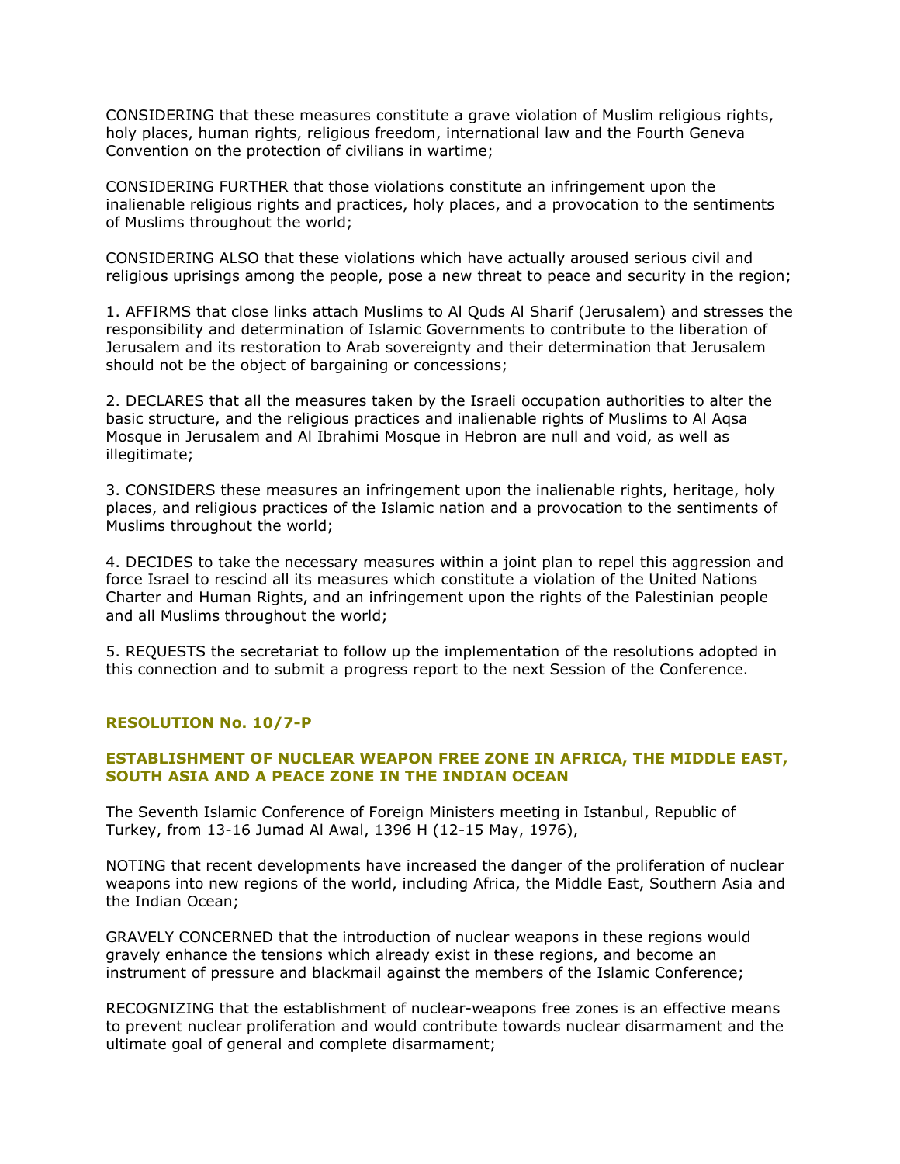CONSIDERING that these measures constitute a grave violation of Muslim religious rights, holy places, human rights, religious freedom, international law and the Fourth Geneva Convention on the protection of civilians in wartime;

CONSIDERING FURTHER that those violations constitute an infringement upon the inalienable religious rights and practices, holy places, and a provocation to the sentiments of Muslims throughout the world;

CONSIDERING ALSO that these violations which have actually aroused serious civil and religious uprisings among the people, pose a new threat to peace and security in the region;

1. AFFIRMS that close links attach Muslims to Al Quds Al Sharif (Jerusalem) and stresses the responsibility and determination of Islamic Governments to contribute to the liberation of Jerusalem and its restoration to Arab sovereignty and their determination that Jerusalem should not be the object of bargaining or concessions;

2. DECLARES that all the measures taken by the Israeli occupation authorities to alter the basic structure, and the religious practices and inalienable rights of Muslims to Al Aqsa Mosque in Jerusalem and Al Ibrahimi Mosque in Hebron are null and void, as well as illegitimate;

3. CONSIDERS these measures an infringement upon the inalienable rights, heritage, holy places, and religious practices of the Islamic nation and a provocation to the sentiments of Muslims throughout the world;

4. DECIDES to take the necessary measures within a joint plan to repel this aggression and force Israel to rescind all its measures which constitute a violation of the United Nations Charter and Human Rights, and an infringement upon the rights of the Palestinian people and all Muslims throughout the world;

5. REQUESTS the secretariat to follow up the implementation of the resolutions adopted in this connection and to submit a progress report to the next Session of the Conference.

## **RESOLUTION No. 10/7-P**

# **ESTABLISHMENT OF NUCLEAR WEAPON FREE ZONE IN AFRICA, THE MIDDLE EAST, SOUTH ASIA AND A PEACE ZONE IN THE INDIAN OCEAN**

The Seventh Islamic Conference of Foreign Ministers meeting in Istanbul, Republic of Turkey, from 13-16 Jumad Al Awal, 1396 H (12-15 May, 1976),

NOTING that recent developments have increased the danger of the proliferation of nuclear weapons into new regions of the world, including Africa, the Middle East, Southern Asia and the Indian Ocean;

GRAVELY CONCERNED that the introduction of nuclear weapons in these regions would gravely enhance the tensions which already exist in these regions, and become an instrument of pressure and blackmail against the members of the Islamic Conference;

RECOGNIZING that the establishment of nuclear-weapons free zones is an effective means to prevent nuclear proliferation and would contribute towards nuclear disarmament and the ultimate goal of general and complete disarmament;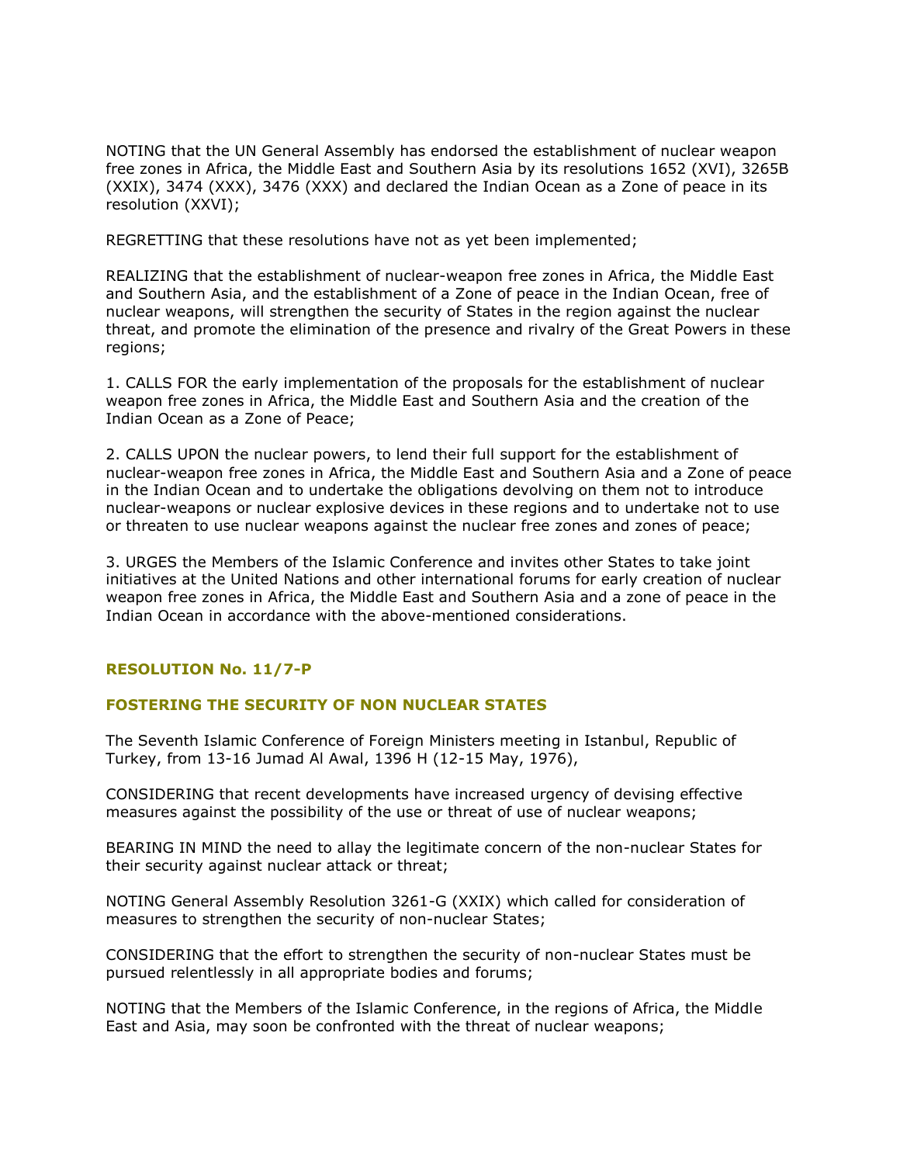NOTING that the UN General Assembly has endorsed the establishment of nuclear weapon free zones in Africa, the Middle East and Southern Asia by its resolutions 1652 (XVI), 3265B (XXIX), 3474 (XXX), 3476 (XXX) and declared the Indian Ocean as a Zone of peace in its resolution (XXVI);

REGRETTING that these resolutions have not as yet been implemented;

REALIZING that the establishment of nuclear-weapon free zones in Africa, the Middle East and Southern Asia, and the establishment of a Zone of peace in the Indian Ocean, free of nuclear weapons, will strengthen the security of States in the region against the nuclear threat, and promote the elimination of the presence and rivalry of the Great Powers in these regions;

1. CALLS FOR the early implementation of the proposals for the establishment of nuclear weapon free zones in Africa, the Middle East and Southern Asia and the creation of the Indian Ocean as a Zone of Peace;

2. CALLS UPON the nuclear powers, to lend their full support for the establishment of nuclear-weapon free zones in Africa, the Middle East and Southern Asia and a Zone of peace in the Indian Ocean and to undertake the obligations devolving on them not to introduce nuclear-weapons or nuclear explosive devices in these regions and to undertake not to use or threaten to use nuclear weapons against the nuclear free zones and zones of peace;

3. URGES the Members of the Islamic Conference and invites other States to take joint initiatives at the United Nations and other international forums for early creation of nuclear weapon free zones in Africa, the Middle East and Southern Asia and a zone of peace in the Indian Ocean in accordance with the above-mentioned considerations.

# **RESOLUTION No. 11/7-P**

## **FOSTERING THE SECURITY OF NON NUCLEAR STATES**

The Seventh Islamic Conference of Foreign Ministers meeting in Istanbul, Republic of Turkey, from 13-16 Jumad Al Awal, 1396 H (12-15 May, 1976),

CONSIDERING that recent developments have increased urgency of devising effective measures against the possibility of the use or threat of use of nuclear weapons;

BEARING IN MIND the need to allay the legitimate concern of the non-nuclear States for their security against nuclear attack or threat;

NOTING General Assembly Resolution 3261-G (XXIX) which called for consideration of measures to strengthen the security of non-nuclear States;

CONSIDERING that the effort to strengthen the security of non-nuclear States must be pursued relentlessly in all appropriate bodies and forums;

NOTING that the Members of the Islamic Conference, in the regions of Africa, the Middle East and Asia, may soon be confronted with the threat of nuclear weapons;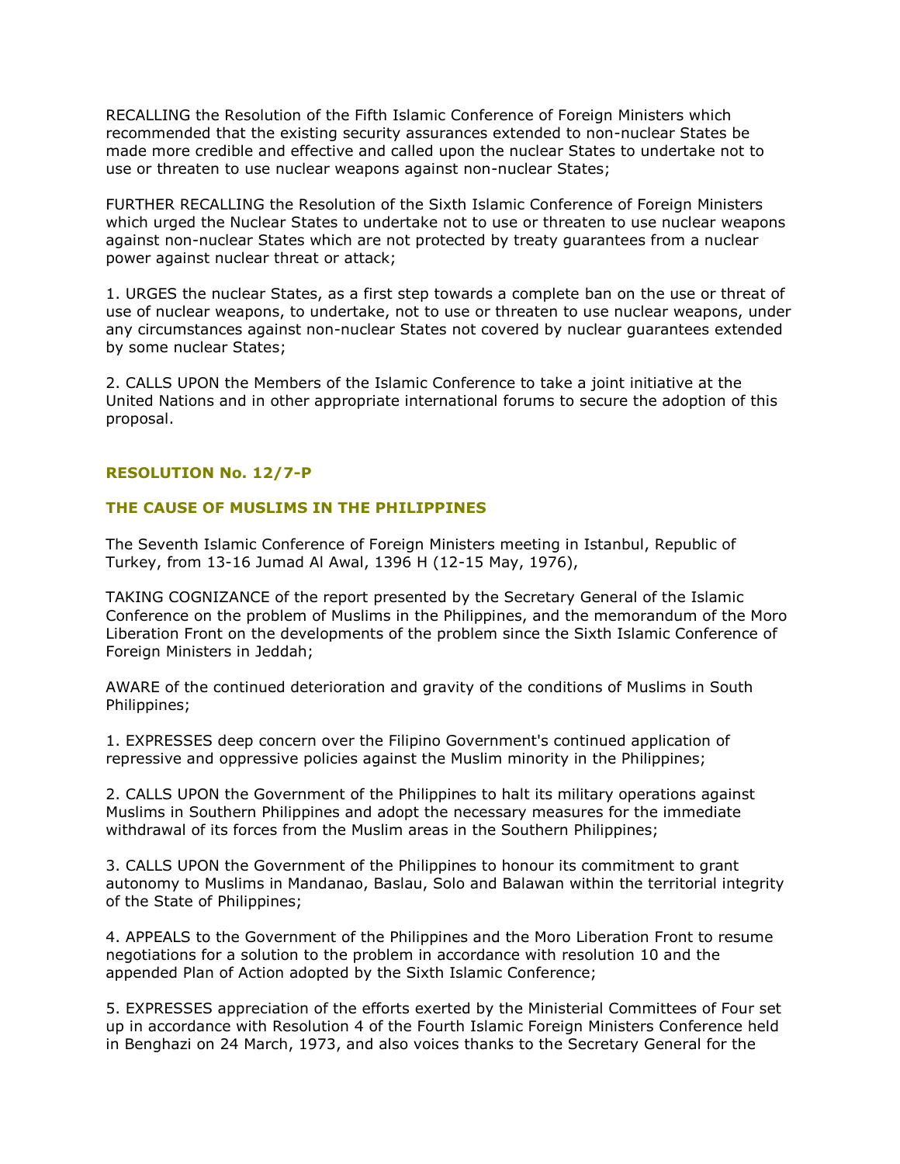RECALLING the Resolution of the Fifth Islamic Conference of Foreign Ministers which recommended that the existing security assurances extended to non-nuclear States be made more credible and effective and called upon the nuclear States to undertake not to use or threaten to use nuclear weapons against non-nuclear States;

FURTHER RECALLING the Resolution of the Sixth Islamic Conference of Foreign Ministers which urged the Nuclear States to undertake not to use or threaten to use nuclear weapons against non-nuclear States which are not protected by treaty guarantees from a nuclear power against nuclear threat or attack;

1. URGES the nuclear States, as a first step towards a complete ban on the use or threat of use of nuclear weapons, to undertake, not to use or threaten to use nuclear weapons, under any circumstances against non-nuclear States not covered by nuclear guarantees extended by some nuclear States;

2. CALLS UPON the Members of the Islamic Conference to take a joint initiative at the United Nations and in other appropriate international forums to secure the adoption of this proposal.

# **RESOLUTION No. 12/7-P**

# **THE CAUSE OF MUSLIMS IN THE PHILIPPINES**

The Seventh Islamic Conference of Foreign Ministers meeting in Istanbul, Republic of Turkey, from 13-16 Jumad Al Awal, 1396 H (12-15 May, 1976),

TAKING COGNIZANCE of the report presented by the Secretary General of the Islamic Conference on the problem of Muslims in the Philippines, and the memorandum of the Moro Liberation Front on the developments of the problem since the Sixth Islamic Conference of Foreign Ministers in Jeddah;

AWARE of the continued deterioration and gravity of the conditions of Muslims in South Philippines;

1. EXPRESSES deep concern over the Filipino Government's continued application of repressive and oppressive policies against the Muslim minority in the Philippines;

2. CALLS UPON the Government of the Philippines to halt its military operations against Muslims in Southern Philippines and adopt the necessary measures for the immediate withdrawal of its forces from the Muslim areas in the Southern Philippines;

3. CALLS UPON the Government of the Philippines to honour its commitment to grant autonomy to Muslims in Mandanao, Baslau, Solo and Balawan within the territorial integrity of the State of Philippines;

4. APPEALS to the Government of the Philippines and the Moro Liberation Front to resume negotiations for a solution to the problem in accordance with resolution 10 and the appended Plan of Action adopted by the Sixth Islamic Conference;

5. EXPRESSES appreciation of the efforts exerted by the Ministerial Committees of Four set up in accordance with Resolution 4 of the Fourth Islamic Foreign Ministers Conference held in Benghazi on 24 March, 1973, and also voices thanks to the Secretary General for the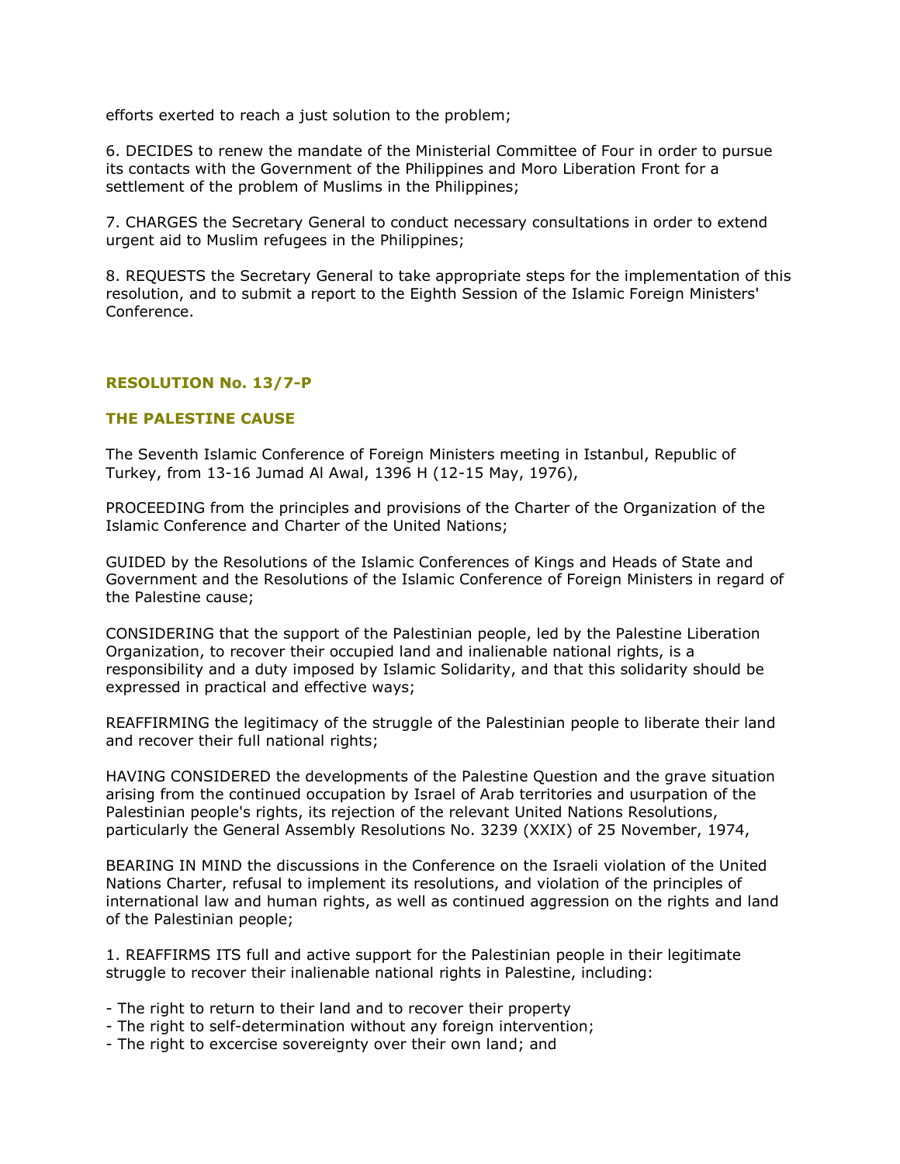efforts exerted to reach a just solution to the problem;

6. DECIDES to renew the mandate of the Ministerial Committee of Four in order to pursue its contacts with the Government of the Philippines and Moro Liberation Front for a settlement of the problem of Muslims in the Philippines;

7. CHARGES the Secretary General to conduct necessary consultations in order to extend urgent aid to Muslim refugees in the Philippines;

8. REQUESTS the Secretary General to take appropriate steps for the implementation of this resolution, and to submit a report to the Eighth Session of the Islamic Foreign Ministers' Conference.

# **RESOLUTION No. 13/7-P**

# **THE PALESTINE CAUSE**

The Seventh Islamic Conference of Foreign Ministers meeting in Istanbul, Republic of Turkey, from 13-16 Jumad Al Awal, 1396 H (12-15 May, 1976),

PROCEEDING from the principles and provisions of the Charter of the Organization of the Islamic Conference and Charter of the United Nations;

GUIDED by the Resolutions of the Islamic Conferences of Kings and Heads of State and Government and the Resolutions of the Islamic Conference of Foreign Ministers in regard of the Palestine cause;

CONSIDERING that the support of the Palestinian people, led by the Palestine Liberation Organization, to recover their occupied land and inalienable national rights, is a responsibility and a duty imposed by Islamic Solidarity, and that this solidarity should be expressed in practical and effective ways;

REAFFIRMING the legitimacy of the struggle of the Palestinian people to liberate their land and recover their full national rights;

HAVING CONSIDERED the developments of the Palestine Question and the grave situation arising from the continued occupation by Israel of Arab territories and usurpation of the Palestinian people's rights, its rejection of the relevant United Nations Resolutions, particularly the General Assembly Resolutions No. 3239 (XXIX) of 25 November, 1974,

BEARING IN MIND the discussions in the Conference on the Israeli violation of the United Nations Charter, refusal to implement its resolutions, and violation of the principles of international law and human rights, as well as continued aggression on the rights and land of the Palestinian people;

1. REAFFIRMS ITS full and active support for the Palestinian people in their legitimate struggle to recover their inalienable national rights in Palestine, including:

- The right to return to their land and to recover their property
- The right to self-determination without any foreign intervention;
- The right to excercise sovereignty over their own land; and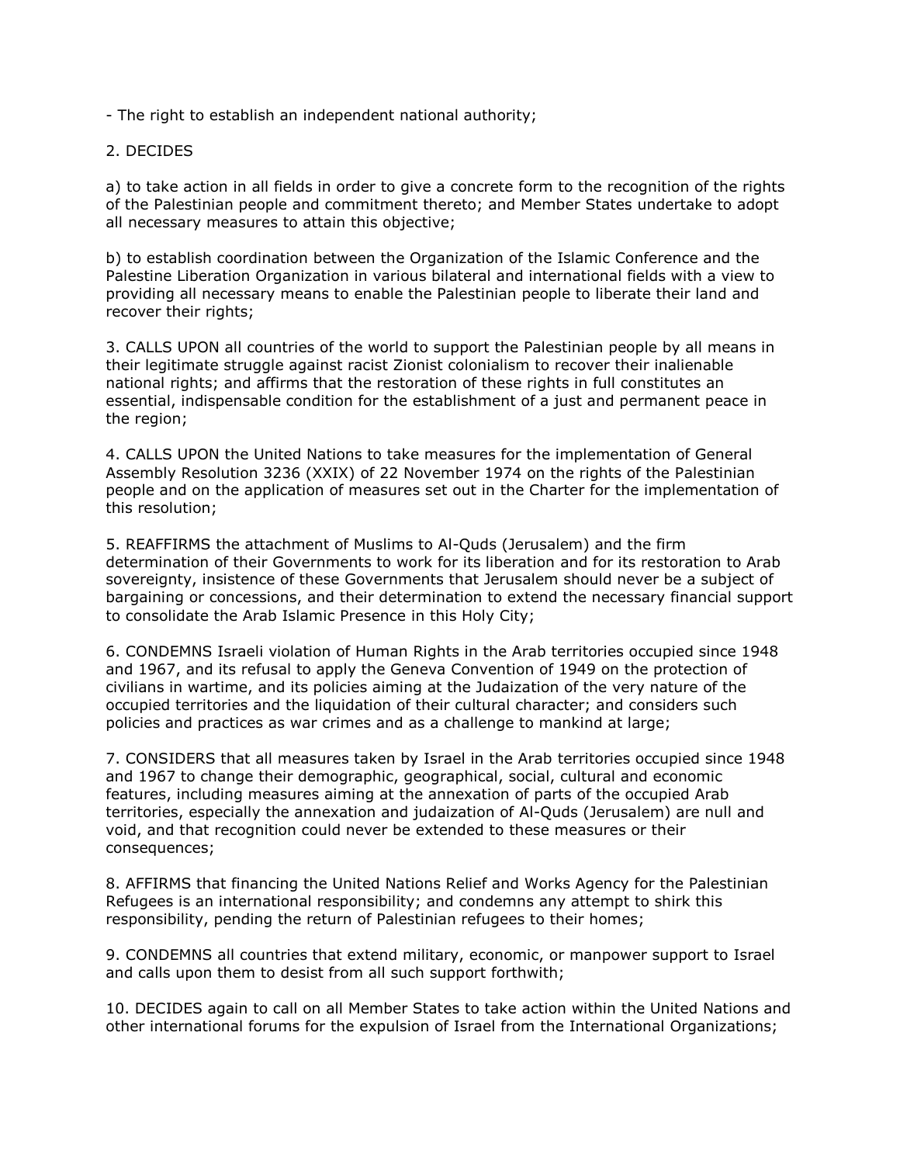- The right to establish an independent national authority;

2. DECIDES

a) to take action in all fields in order to give a concrete form to the recognition of the rights of the Palestinian people and commitment thereto; and Member States undertake to adopt all necessary measures to attain this objective;

b) to establish coordination between the Organization of the Islamic Conference and the Palestine Liberation Organization in various bilateral and international fields with a view to providing all necessary means to enable the Palestinian people to liberate their land and recover their rights;

3. CALLS UPON all countries of the world to support the Palestinian people by all means in their legitimate struggle against racist Zionist colonialism to recover their inalienable national rights; and affirms that the restoration of these rights in full constitutes an essential, indispensable condition for the establishment of a just and permanent peace in the region;

4. CALLS UPON the United Nations to take measures for the implementation of General Assembly Resolution 3236 (XXIX) of 22 November 1974 on the rights of the Palestinian people and on the application of measures set out in the Charter for the implementation of this resolution;

5. REAFFIRMS the attachment of Muslims to Al-Quds (Jerusalem) and the firm determination of their Governments to work for its liberation and for its restoration to Arab sovereignty, insistence of these Governments that Jerusalem should never be a subject of bargaining or concessions, and their determination to extend the necessary financial support to consolidate the Arab Islamic Presence in this Holy City;

6. CONDEMNS Israeli violation of Human Rights in the Arab territories occupied since 1948 and 1967, and its refusal to apply the Geneva Convention of 1949 on the protection of civilians in wartime, and its policies aiming at the Judaization of the very nature of the occupied territories and the liquidation of their cultural character; and considers such policies and practices as war crimes and as a challenge to mankind at large;

7. CONSIDERS that all measures taken by Israel in the Arab territories occupied since 1948 and 1967 to change their demographic, geographical, social, cultural and economic features, including measures aiming at the annexation of parts of the occupied Arab territories, especially the annexation and judaization of Al-Quds (Jerusalem) are null and void, and that recognition could never be extended to these measures or their consequences;

8. AFFIRMS that financing the United Nations Relief and Works Agency for the Palestinian Refugees is an international responsibility; and condemns any attempt to shirk this responsibility, pending the return of Palestinian refugees to their homes;

9. CONDEMNS all countries that extend military, economic, or manpower support to Israel and calls upon them to desist from all such support forthwith;

10. DECIDES again to call on all Member States to take action within the United Nations and other international forums for the expulsion of Israel from the International Organizations;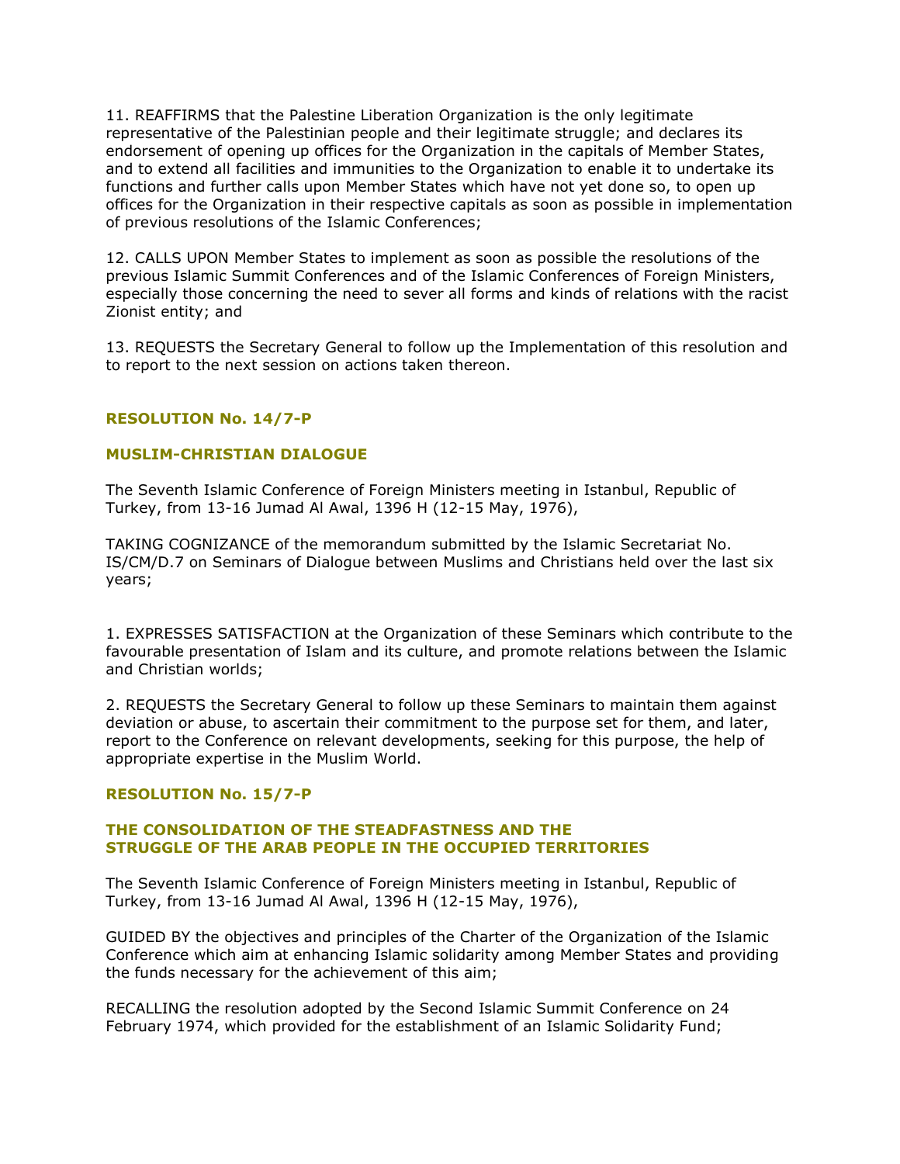11. REAFFIRMS that the Palestine Liberation Organization is the only legitimate representative of the Palestinian people and their legitimate struggle; and declares its endorsement of opening up offices for the Organization in the capitals of Member States, and to extend all facilities and immunities to the Organization to enable it to undertake its functions and further calls upon Member States which have not yet done so, to open up offices for the Organization in their respective capitals as soon as possible in implementation of previous resolutions of the Islamic Conferences;

12. CALLS UPON Member States to implement as soon as possible the resolutions of the previous Islamic Summit Conferences and of the Islamic Conferences of Foreign Ministers, especially those concerning the need to sever all forms and kinds of relations with the racist Zionist entity; and

13. REQUESTS the Secretary General to follow up the Implementation of this resolution and to report to the next session on actions taken thereon.

# **RESOLUTION No. 14/7-P**

# **MUSLIM-CHRISTIAN DIALOGUE**

The Seventh Islamic Conference of Foreign Ministers meeting in Istanbul, Republic of Turkey, from 13-16 Jumad Al Awal, 1396 H (12-15 May, 1976),

TAKING COGNIZANCE of the memorandum submitted by the Islamic Secretariat No. IS/CM/D.7 on Seminars of Dialogue between Muslims and Christians held over the last six years;

1. EXPRESSES SATISFACTION at the Organization of these Seminars which contribute to the favourable presentation of Islam and its culture, and promote relations between the Islamic and Christian worlds;

2. REQUESTS the Secretary General to follow up these Seminars to maintain them against deviation or abuse, to ascertain their commitment to the purpose set for them, and later, report to the Conference on relevant developments, seeking for this purpose, the help of appropriate expertise in the Muslim World.

## **RESOLUTION No. 15/7-P**

# **THE CONSOLIDATION OF THE STEADFASTNESS AND THE STRUGGLE OF THE ARAB PEOPLE IN THE OCCUPIED TERRITORIES**

The Seventh Islamic Conference of Foreign Ministers meeting in Istanbul, Republic of Turkey, from 13-16 Jumad Al Awal, 1396 H (12-15 May, 1976),

GUIDED BY the objectives and principles of the Charter of the Organization of the Islamic Conference which aim at enhancing Islamic solidarity among Member States and providing the funds necessary for the achievement of this aim;

RECALLING the resolution adopted by the Second Islamic Summit Conference on 24 February 1974, which provided for the establishment of an Islamic Solidarity Fund;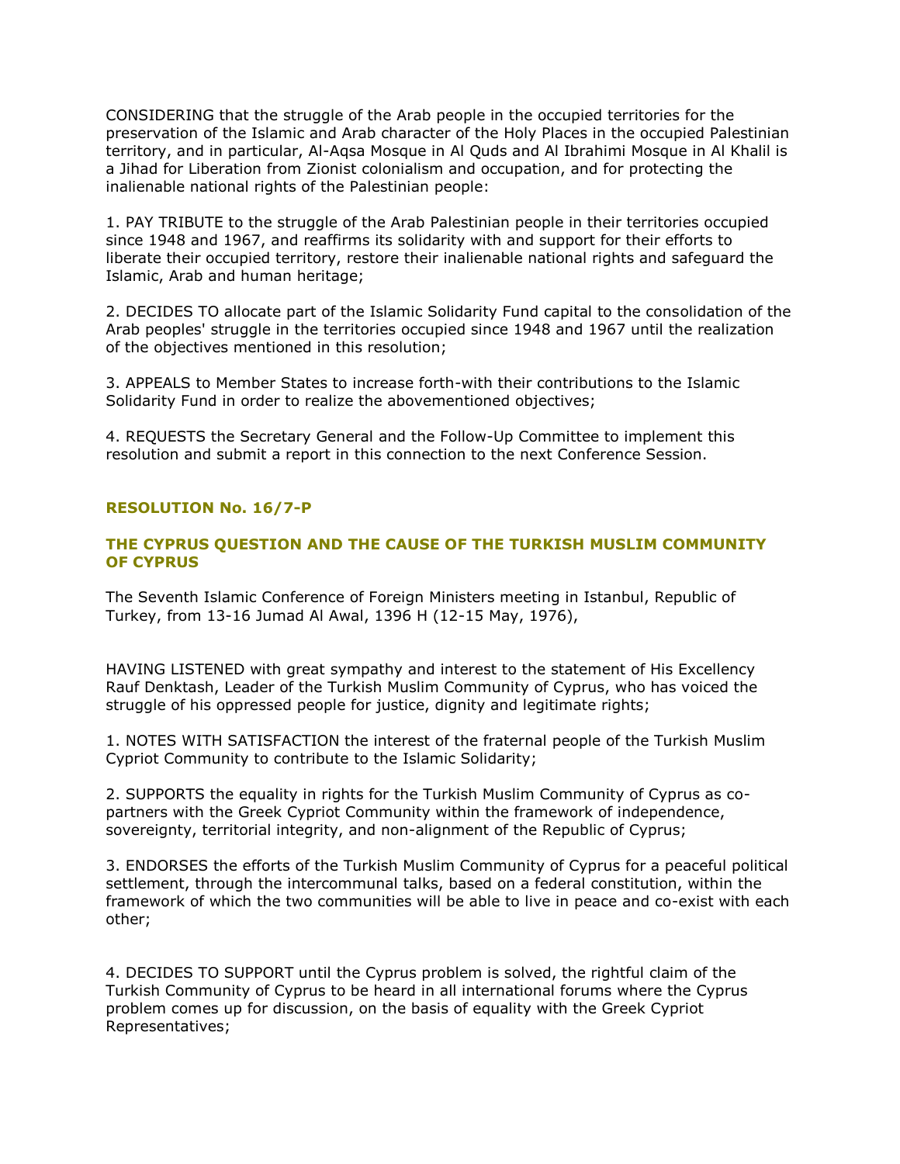CONSIDERING that the struggle of the Arab people in the occupied territories for the preservation of the Islamic and Arab character of the Holy Places in the occupied Palestinian territory, and in particular, Al-Aqsa Mosque in Al Quds and Al Ibrahimi Mosque in Al Khalil is a Jihad for Liberation from Zionist colonialism and occupation, and for protecting the inalienable national rights of the Palestinian people:

1. PAY TRIBUTE to the struggle of the Arab Palestinian people in their territories occupied since 1948 and 1967, and reaffirms its solidarity with and support for their efforts to liberate their occupied territory, restore their inalienable national rights and safeguard the Islamic, Arab and human heritage;

2. DECIDES TO allocate part of the Islamic Solidarity Fund capital to the consolidation of the Arab peoples' struggle in the territories occupied since 1948 and 1967 until the realization of the objectives mentioned in this resolution;

3. APPEALS to Member States to increase forth-with their contributions to the Islamic Solidarity Fund in order to realize the abovementioned objectives;

4. REQUESTS the Secretary General and the Follow-Up Committee to implement this resolution and submit a report in this connection to the next Conference Session.

# **RESOLUTION No. 16/7-P**

# **THE CYPRUS QUESTION AND THE CAUSE OF THE TURKISH MUSLIM COMMUNITY OF CYPRUS**

The Seventh Islamic Conference of Foreign Ministers meeting in Istanbul, Republic of Turkey, from 13-16 Jumad Al Awal, 1396 H (12-15 May, 1976),

HAVING LISTENED with great sympathy and interest to the statement of His Excellency Rauf Denktash, Leader of the Turkish Muslim Community of Cyprus, who has voiced the struggle of his oppressed people for justice, dignity and legitimate rights;

1. NOTES WITH SATISFACTION the interest of the fraternal people of the Turkish Muslim Cypriot Community to contribute to the Islamic Solidarity;

2. SUPPORTS the equality in rights for the Turkish Muslim Community of Cyprus as copartners with the Greek Cypriot Community within the framework of independence, sovereignty, territorial integrity, and non-alignment of the Republic of Cyprus;

3. ENDORSES the efforts of the Turkish Muslim Community of Cyprus for a peaceful political settlement, through the intercommunal talks, based on a federal constitution, within the framework of which the two communities will be able to live in peace and co-exist with each other;

4. DECIDES TO SUPPORT until the Cyprus problem is solved, the rightful claim of the Turkish Community of Cyprus to be heard in all international forums where the Cyprus problem comes up for discussion, on the basis of equality with the Greek Cypriot Representatives;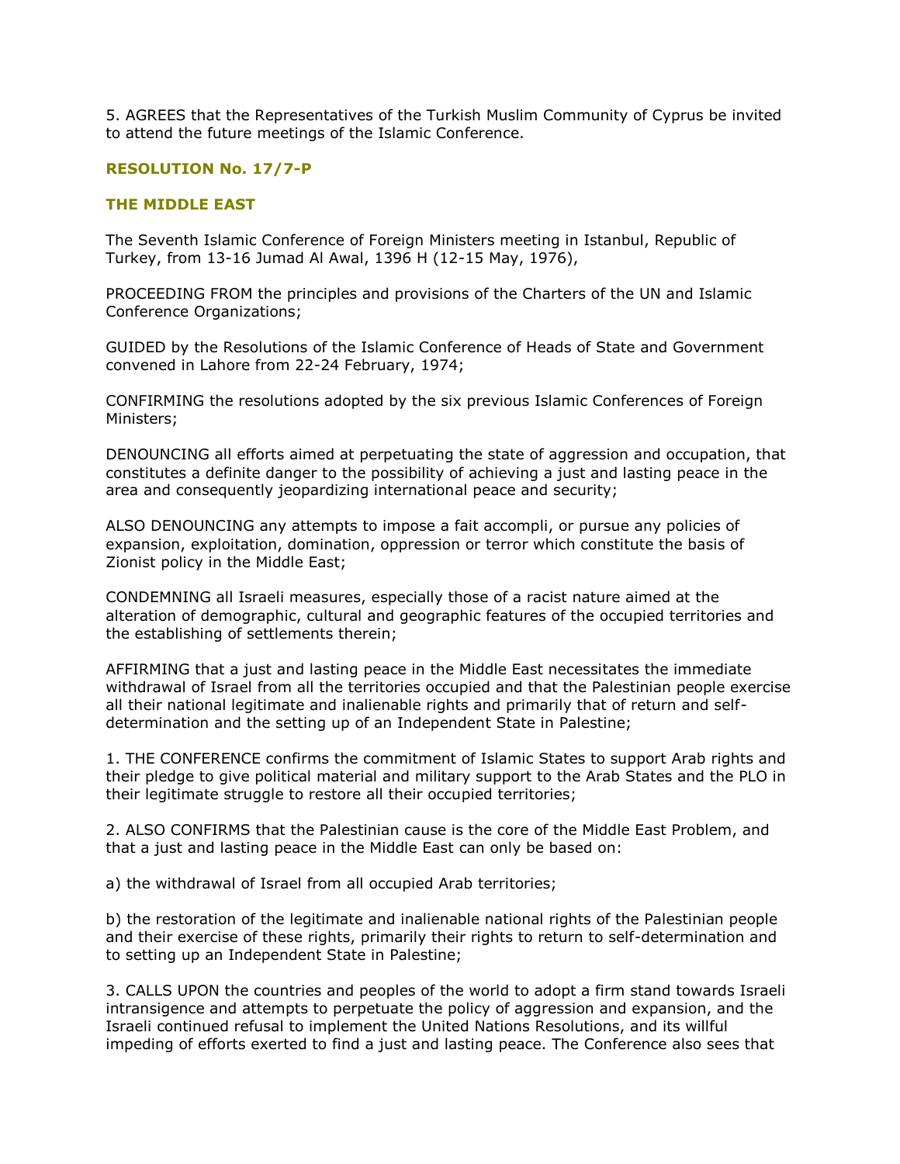5. AGREES that the Representatives of the Turkish Muslim Community of Cyprus be invited to attend the future meetings of the Islamic Conference.

# **RESOLUTION No. 17/7-P**

# **THE MIDDLE EAST**

The Seventh Islamic Conference of Foreign Ministers meeting in Istanbul, Republic of Turkey, from 13-16 Jumad Al Awal, 1396 H (12-15 May, 1976),

PROCEEDING FROM the principles and provisions of the Charters of the UN and Islamic Conference Organizations;

GUIDED by the Resolutions of the Islamic Conference of Heads of State and Government convened in Lahore from 22-24 February, 1974;

CONFIRMING the resolutions adopted by the six previous Islamic Conferences of Foreign Ministers;

DENOUNCING all efforts aimed at perpetuating the state of aggression and occupation, that constitutes a definite danger to the possibility of achieving a just and lasting peace in the area and consequently jeopardizing international peace and security;

ALSO DENOUNCING any attempts to impose a fait accompli, or pursue any policies of expansion, exploitation, domination, oppression or terror which constitute the basis of Zionist policy in the Middle East;

CONDEMNING all Israeli measures, especially those of a racist nature aimed at the alteration of demographic, cultural and geographic features of the occupied territories and the establishing of settlements therein;

AFFIRMING that a just and lasting peace in the Middle East necessitates the immediate withdrawal of Israel from all the territories occupied and that the Palestinian people exercise all their national legitimate and inalienable rights and primarily that of return and selfdetermination and the setting up of an Independent State in Palestine;

1. THE CONFERENCE confirms the commitment of Islamic States to support Arab rights and their pledge to give political material and military support to the Arab States and the PLO in their legitimate struggle to restore all their occupied territories;

2. ALSO CONFIRMS that the Palestinian cause is the core of the Middle East Problem, and that a just and lasting peace in the Middle East can only be based on:

a) the withdrawal of Israel from all occupied Arab territories;

b) the restoration of the legitimate and inalienable national rights of the Palestinian people and their exercise of these rights, primarily their rights to return to self-determination and to setting up an Independent State in Palestine;

3. CALLS UPON the countries and peoples of the world to adopt a firm stand towards Israeli intransigence and attempts to perpetuate the policy of aggression and expansion, and the Israeli continued refusal to implement the United Nations Resolutions, and its willful impeding of efforts exerted to find a just and lasting peace. The Conference also sees that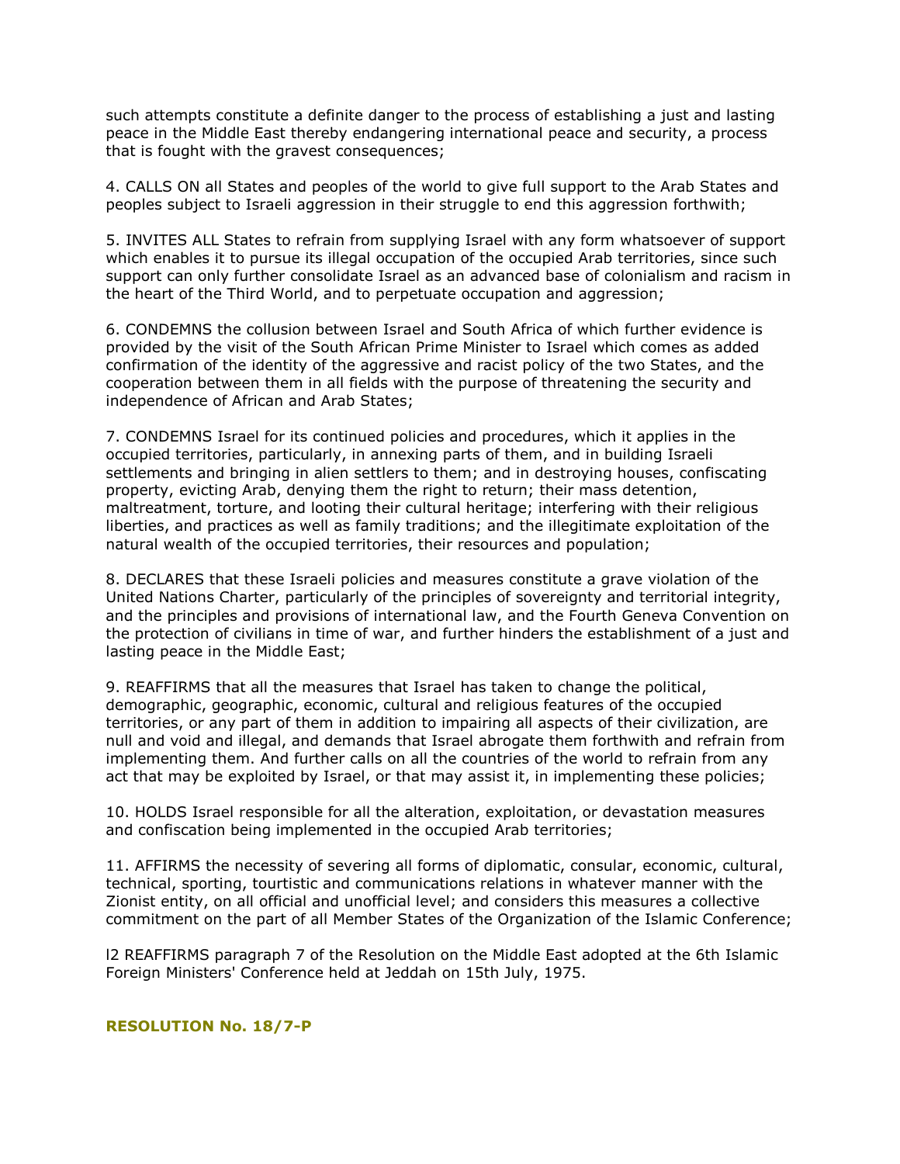such attempts constitute a definite danger to the process of establishing a just and lasting peace in the Middle East thereby endangering international peace and security, a process that is fought with the gravest consequences;

4. CALLS ON all States and peoples of the world to give full support to the Arab States and peoples subject to Israeli aggression in their struggle to end this aggression forthwith;

5. INVITES ALL States to refrain from supplying Israel with any form whatsoever of support which enables it to pursue its illegal occupation of the occupied Arab territories, since such support can only further consolidate Israel as an advanced base of colonialism and racism in the heart of the Third World, and to perpetuate occupation and aggression;

6. CONDEMNS the collusion between Israel and South Africa of which further evidence is provided by the visit of the South African Prime Minister to Israel which comes as added confirmation of the identity of the aggressive and racist policy of the two States, and the cooperation between them in all fields with the purpose of threatening the security and independence of African and Arab States;

7. CONDEMNS Israel for its continued policies and procedures, which it applies in the occupied territories, particularly, in annexing parts of them, and in building Israeli settlements and bringing in alien settlers to them; and in destroying houses, confiscating property, evicting Arab, denying them the right to return; their mass detention, maltreatment, torture, and looting their cultural heritage; interfering with their religious liberties, and practices as well as family traditions; and the illegitimate exploitation of the natural wealth of the occupied territories, their resources and population;

8. DECLARES that these Israeli policies and measures constitute a grave violation of the United Nations Charter, particularly of the principles of sovereignty and territorial integrity, and the principles and provisions of international law, and the Fourth Geneva Convention on the protection of civilians in time of war, and further hinders the establishment of a just and lasting peace in the Middle East;

9. REAFFIRMS that all the measures that Israel has taken to change the political, demographic, geographic, economic, cultural and religious features of the occupied territories, or any part of them in addition to impairing all aspects of their civilization, are null and void and illegal, and demands that Israel abrogate them forthwith and refrain from implementing them. And further calls on all the countries of the world to refrain from any act that may be exploited by Israel, or that may assist it, in implementing these policies;

10. HOLDS Israel responsible for all the alteration, exploitation, or devastation measures and confiscation being implemented in the occupied Arab territories;

11. AFFIRMS the necessity of severing all forms of diplomatic, consular, economic, cultural, technical, sporting, tourtistic and communications relations in whatever manner with the Zionist entity, on all official and unofficial level; and considers this measures a collective commitment on the part of all Member States of the Organization of the Islamic Conference;

l2 REAFFIRMS paragraph 7 of the Resolution on the Middle East adopted at the 6th Islamic Foreign Ministers' Conference held at Jeddah on 15th July, 1975.

# **RESOLUTION No. 18/7-P**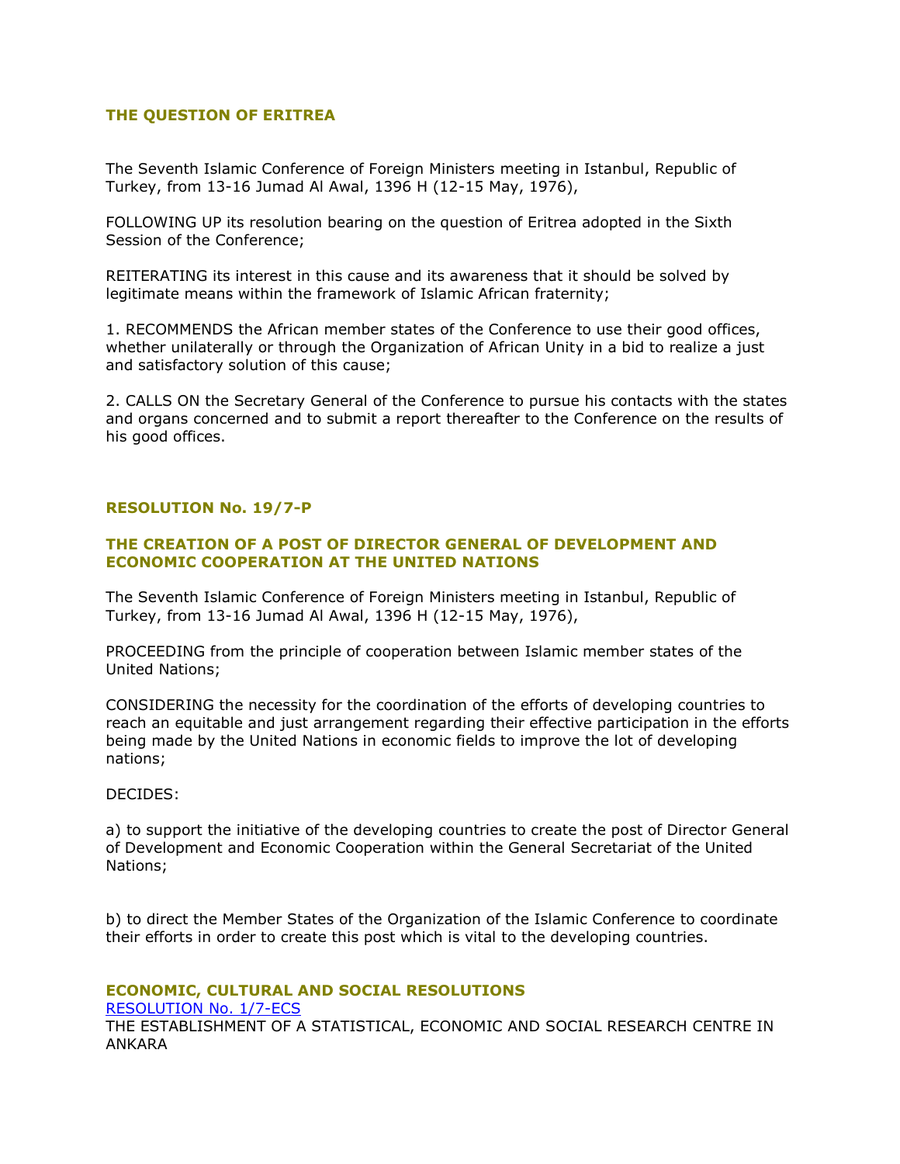# **THE QUESTION OF ERITREA**

The Seventh Islamic Conference of Foreign Ministers meeting in Istanbul, Republic of Turkey, from 13-16 Jumad Al Awal, 1396 H (12-15 May, 1976),

FOLLOWING UP its resolution bearing on the question of Eritrea adopted in the Sixth Session of the Conference;

REITERATING its interest in this cause and its awareness that it should be solved by legitimate means within the framework of Islamic African fraternity;

1. RECOMMENDS the African member states of the Conference to use their good offices, whether unilaterally or through the Organization of African Unity in a bid to realize a just and satisfactory solution of this cause;

2. CALLS ON the Secretary General of the Conference to pursue his contacts with the states and organs concerned and to submit a report thereafter to the Conference on the results of his good offices.

# **RESOLUTION No. 19/7-P**

# **THE CREATION OF A POST OF DIRECTOR GENERAL OF DEVELOPMENT AND ECONOMIC COOPERATION AT THE UNITED NATIONS**

The Seventh Islamic Conference of Foreign Ministers meeting in Istanbul, Republic of Turkey, from 13-16 Jumad Al Awal, 1396 H (12-15 May, 1976),

PROCEEDING from the principle of cooperation between Islamic member states of the United Nations;

CONSIDERING the necessity for the coordination of the efforts of developing countries to reach an equitable and just arrangement regarding their effective participation in the efforts being made by the United Nations in economic fields to improve the lot of developing nations;

## DECIDES:

a) to support the initiative of the developing countries to create the post of Director General of Development and Economic Cooperation within the General Secretariat of the United Nations;

b) to direct the Member States of the Organization of the Islamic Conference to coordinate their efforts in order to create this post which is vital to the developing countries.

## **ECONOMIC, CULTURAL AND SOCIAL RESOLUTIONS**

[RESOLUTION No. 1/7-ECS](http://ww1.oic-oci.org/english/conf/fm/All%20Download/Frm.07.htm#RESOLUTION%20No.%201/7-ECS)

THE ESTABLISHMENT OF A STATISTICAL, ECONOMIC AND SOCIAL RESEARCH CENTRE IN ANKARA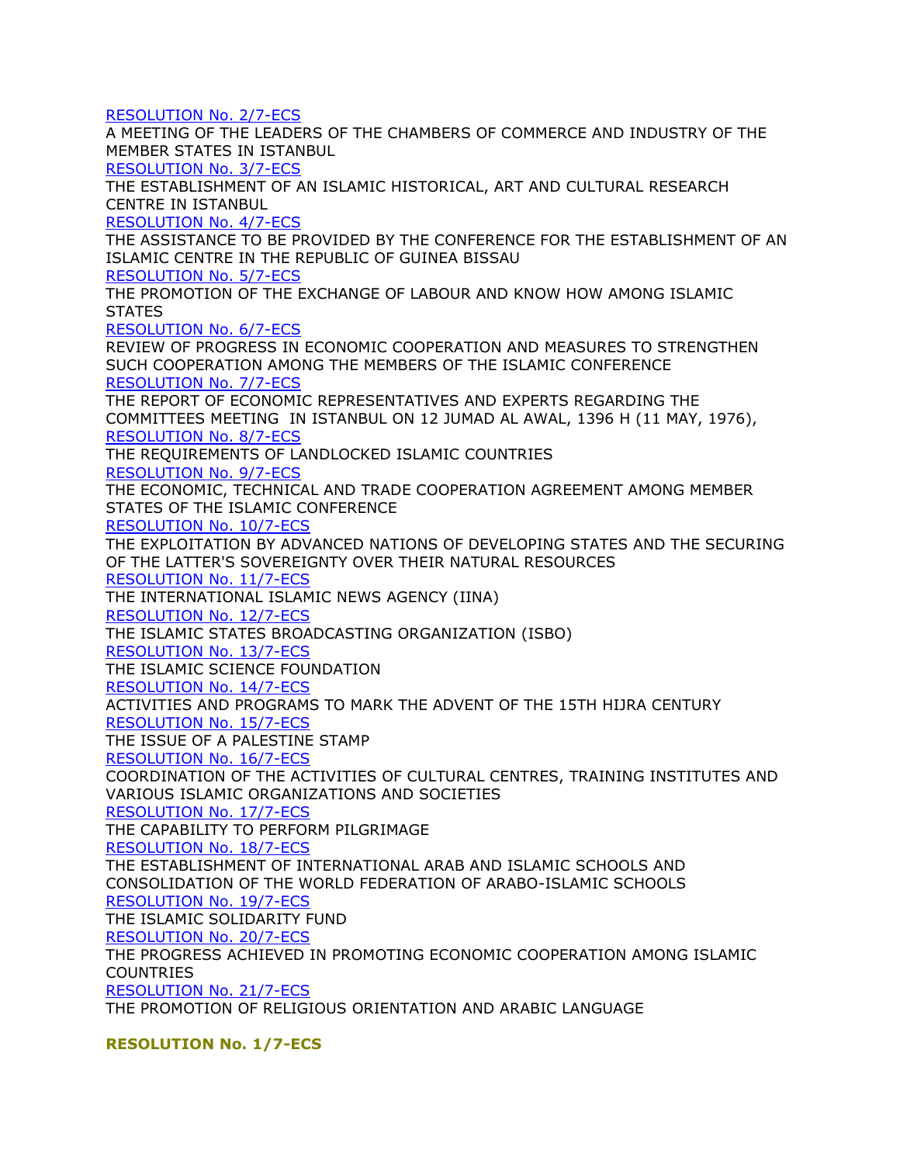[RESOLUTION No. 2/7-ECS](http://ww1.oic-oci.org/english/conf/fm/All%20Download/Frm.07.htm#RESOLUTION%20No.%202/7-ECS) A MEETING OF THE LEADERS OF THE CHAMBERS OF COMMERCE AND INDUSTRY OF THE MEMBER STATES IN ISTANBUL [RESOLUTION No. 3/7-ECS](http://ww1.oic-oci.org/english/conf/fm/All%20Download/Frm.07.htm#RESOLUTION%20No.%203/7-ECS) THE ESTABLISHMENT OF AN ISLAMIC HISTORICAL, ART AND CULTURAL RESEARCH CENTRE IN ISTANBUL [RESOLUTION No. 4/7-ECS](http://ww1.oic-oci.org/english/conf/fm/All%20Download/Frm.07.htm#RESOLUTION%20No.%204/7-ECS) THE ASSISTANCE TO BE PROVIDED BY THE CONFERENCE FOR THE ESTABLISHMENT OF AN ISLAMIC CENTRE IN THE REPUBLIC OF GUINEA BISSAU [RESOLUTION No. 5/7-ECS](http://ww1.oic-oci.org/english/conf/fm/All%20Download/Frm.07.htm#RESOLUTION%20No.%205/7-ECS) THE PROMOTION OF THE EXCHANGE OF LABOUR AND KNOW HOW AMONG ISLAMIC **STATES** [RESOLUTION No. 6/7-ECS](http://ww1.oic-oci.org/english/conf/fm/All%20Download/Frm.07.htm#RESOLUTION%20No.%207/7-ECS) REVIEW OF PROGRESS IN ECONOMIC COOPERATION AND MEASURES TO STRENGTHEN SUCH COOPERATION AMONG THE MEMBERS OF THE ISLAMIC CONFERENCE [RESOLUTION No. 7/7-ECS](http://ww1.oic-oci.org/english/conf/fm/All%20Download/Frm.07.htm#RESOLUTION%20No.%207/7-ECS) THE REPORT OF ECONOMIC REPRESENTATIVES AND EXPERTS REGARDING THE COMMITTEES MEETING IN ISTANBUL ON 12 JUMAD AL AWAL, 1396 H (11 MAY, 1976), [RESOLUTION No. 8/7-ECS](http://ww1.oic-oci.org/english/conf/fm/All%20Download/Frm.07.htm#RESOLUTION%208/7-P) THE REQUIREMENTS OF LANDLOCKED ISLAMIC COUNTRIES [RESOLUTION No. 9/7-ECS](http://ww1.oic-oci.org/english/conf/fm/All%20Download/Frm.07.htm#RESOLUTION%20No.%209/7-ECS) THE ECONOMIC, TECHNICAL AND TRADE COOPERATION AGREEMENT AMONG MEMBER STATES OF THE ISLAMIC CONFERENCE [RESOLUTION No. 10/7-ECS](http://ww1.oic-oci.org/english/conf/fm/All%20Download/Frm.07.htm#RESOLUTION%20No.%2010/7-ECS) THE EXPLOITATION BY ADVANCED NATIONS OF DEVELOPING STATES AND THE SECURING OF THE LATTER'S SOVEREIGNTY OVER THEIR NATURAL RESOURCES [RESOLUTION No. 11/7-ECS](http://ww1.oic-oci.org/english/conf/fm/All%20Download/Frm.07.htm#RESOLUTION%20No.%2011/7-ECS) THE INTERNATIONAL ISLAMIC NEWS AGENCY (IINA) [RESOLUTION No. 12/7-ECS](http://ww1.oic-oci.org/english/conf/fm/All%20Download/Frm.07.htm#RESOLUTION%20No.%2012/7-ECS) THE ISLAMIC STATES BROADCASTING ORGANIZATION (ISBO) [RESOLUTION No. 13/7-ECS](http://ww1.oic-oci.org/english/conf/fm/All%20Download/Frm.07.htm#RESOLUTION%20No.%2013/7-ECS) THE ISLAMIC SCIENCE FOUNDATION [RESOLUTION No. 14/7-ECS](http://ww1.oic-oci.org/english/conf/fm/All%20Download/Frm.07.htm#RESOLUTION%20No.%2014/7-ECS) ACTIVITIES AND PROGRAMS TO MARK THE ADVENT OF THE 15TH HIJRA CENTURY [RESOLUTION No. 15/7-ECS](http://ww1.oic-oci.org/english/conf/fm/All%20Download/Frm.07.htm#RESOLUTION%20No.%2015/7-ECS) THE ISSUE OF A PALESTINE STAMP [RESOLUTION No. 16/7-ECS](http://ww1.oic-oci.org/english/conf/fm/All%20Download/Frm.07.htm#RESOLUTION%20No.%2016/7-ECS) COORDINATION OF THE ACTIVITIES OF CULTURAL CENTRES, TRAINING INSTITUTES AND VARIOUS ISLAMIC ORGANIZATIONS AND SOCIETIES [RESOLUTION No. 17/7-ECS](http://ww1.oic-oci.org/english/conf/fm/All%20Download/Frm.07.htm#RESOLUTION%20No.%2017/7-ECS) THE CAPABILITY TO PERFORM PILGRIMAGE [RESOLUTION No. 18/7-ECS](http://ww1.oic-oci.org/english/conf/fm/All%20Download/Frm.07.htm#RESOLUTION%20No.%2018/7-ECS) THE ESTABLISHMENT OF INTERNATIONAL ARAB AND ISLAMIC SCHOOLS AND CONSOLIDATION OF THE WORLD FEDERATION OF ARABO-ISLAMIC SCHOOLS [RESOLUTION No. 19/7-ECS](http://ww1.oic-oci.org/english/conf/fm/All%20Download/Frm.07.htm#RESOLUTION%20No.%2019/7-ECS) THE ISLAMIC SOLIDARITY FUND [RESOLUTION No. 20/7-ECS](http://ww1.oic-oci.org/english/conf/fm/All%20Download/Frm.07.htm#RESOLUTION%20No.%2020/7-ECS) THE PROGRESS ACHIEVED IN PROMOTING ECONOMIC COOPERATION AMONG ISLAMIC COUNTRIES [RESOLUTION No. 21/7-ECS](http://ww1.oic-oci.org/english/conf/fm/All%20Download/Frm.07.htm#RESOLUTION%20No.%2021/7-ECS) THE PROMOTION OF RELIGIOUS ORIENTATION AND ARABIC LANGUAGE

**RESOLUTION No. 1/7-ECS**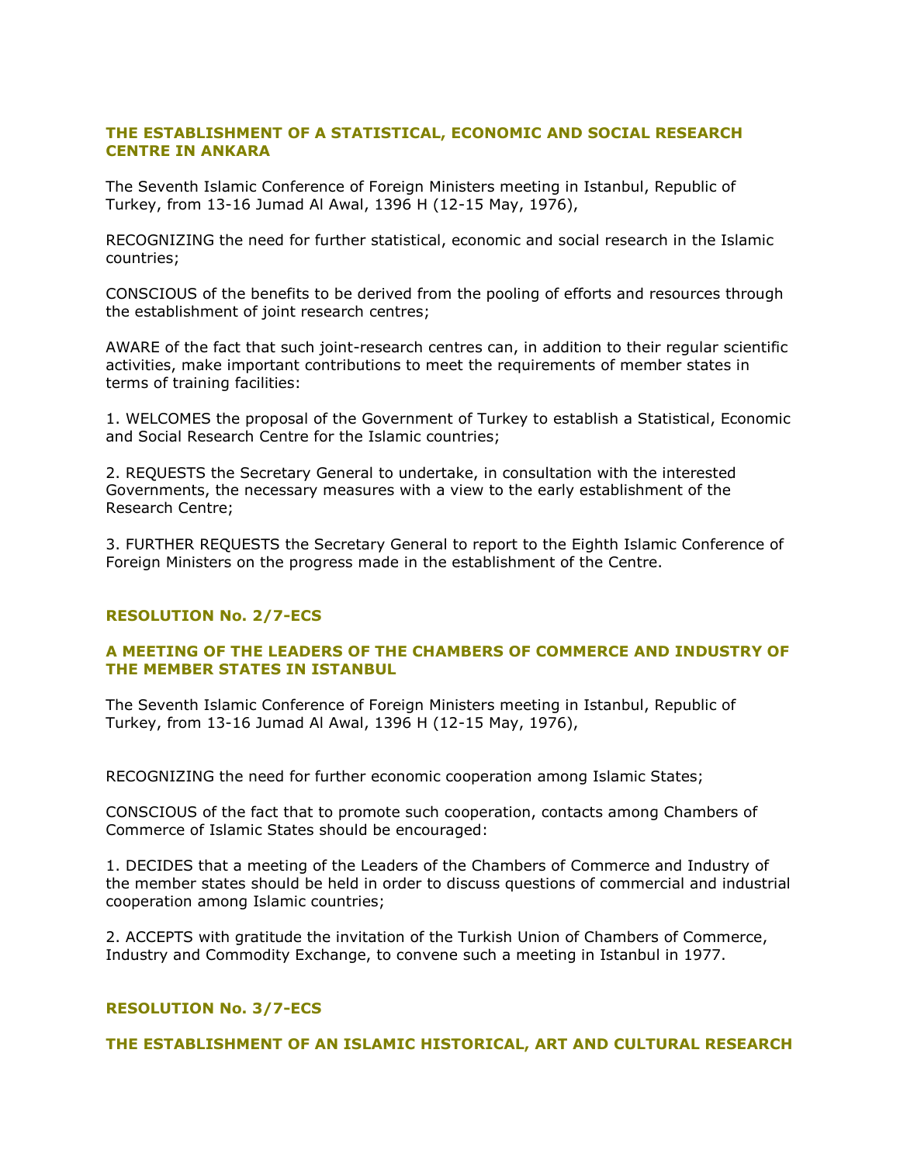# **THE ESTABLISHMENT OF A STATISTICAL, ECONOMIC AND SOCIAL RESEARCH CENTRE IN ANKARA**

The Seventh Islamic Conference of Foreign Ministers meeting in Istanbul, Republic of Turkey, from 13-16 Jumad Al Awal, 1396 H (12-15 May, 1976),

RECOGNIZING the need for further statistical, economic and social research in the Islamic countries;

CONSCIOUS of the benefits to be derived from the pooling of efforts and resources through the establishment of joint research centres;

AWARE of the fact that such joint-research centres can, in addition to their regular scientific activities, make important contributions to meet the requirements of member states in terms of training facilities:

1. WELCOMES the proposal of the Government of Turkey to establish a Statistical, Economic and Social Research Centre for the Islamic countries;

2. REQUESTS the Secretary General to undertake, in consultation with the interested Governments, the necessary measures with a view to the early establishment of the Research Centre;

3. FURTHER REQUESTS the Secretary General to report to the Eighth Islamic Conference of Foreign Ministers on the progress made in the establishment of the Centre.

# **RESOLUTION No. 2/7-ECS**

# **A MEETING OF THE LEADERS OF THE CHAMBERS OF COMMERCE AND INDUSTRY OF THE MEMBER STATES IN ISTANBUL**

The Seventh Islamic Conference of Foreign Ministers meeting in Istanbul, Republic of Turkey, from 13-16 Jumad Al Awal, 1396 H (12-15 May, 1976),

RECOGNIZING the need for further economic cooperation among Islamic States;

CONSCIOUS of the fact that to promote such cooperation, contacts among Chambers of Commerce of Islamic States should be encouraged:

1. DECIDES that a meeting of the Leaders of the Chambers of Commerce and Industry of the member states should be held in order to discuss questions of commercial and industrial cooperation among Islamic countries;

2. ACCEPTS with gratitude the invitation of the Turkish Union of Chambers of Commerce, Industry and Commodity Exchange, to convene such a meeting in Istanbul in 1977.

## **RESOLUTION No. 3/7-ECS**

**THE ESTABLISHMENT OF AN ISLAMIC HISTORICAL, ART AND CULTURAL RESEARCH**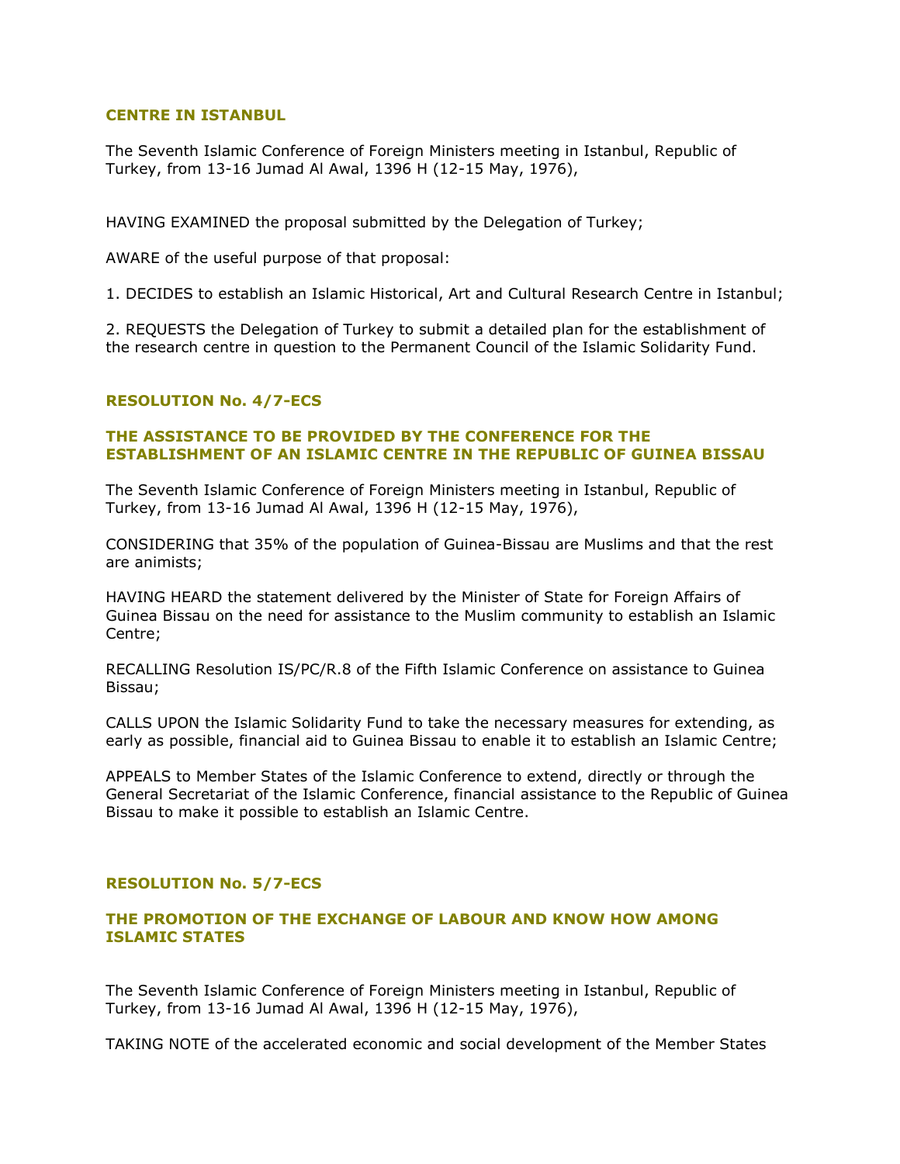## **CENTRE IN ISTANBUL**

The Seventh Islamic Conference of Foreign Ministers meeting in Istanbul, Republic of Turkey, from 13-16 Jumad Al Awal, 1396 H (12-15 May, 1976),

HAVING EXAMINED the proposal submitted by the Delegation of Turkey;

AWARE of the useful purpose of that proposal:

1. DECIDES to establish an Islamic Historical, Art and Cultural Research Centre in Istanbul;

2. REQUESTS the Delegation of Turkey to submit a detailed plan for the establishment of the research centre in question to the Permanent Council of the Islamic Solidarity Fund.

# **RESOLUTION No. 4/7-ECS**

# **THE ASSISTANCE TO BE PROVIDED BY THE CONFERENCE FOR THE ESTABLISHMENT OF AN ISLAMIC CENTRE IN THE REPUBLIC OF GUINEA BISSAU**

The Seventh Islamic Conference of Foreign Ministers meeting in Istanbul, Republic of Turkey, from 13-16 Jumad Al Awal, 1396 H (12-15 May, 1976),

CONSIDERING that 35% of the population of Guinea-Bissau are Muslims and that the rest are animists;

HAVING HEARD the statement delivered by the Minister of State for Foreign Affairs of Guinea Bissau on the need for assistance to the Muslim community to establish an Islamic Centre;

RECALLING Resolution IS/PC/R.8 of the Fifth Islamic Conference on assistance to Guinea Bissau;

CALLS UPON the Islamic Solidarity Fund to take the necessary measures for extending, as early as possible, financial aid to Guinea Bissau to enable it to establish an Islamic Centre;

APPEALS to Member States of the Islamic Conference to extend, directly or through the General Secretariat of the Islamic Conference, financial assistance to the Republic of Guinea Bissau to make it possible to establish an Islamic Centre.

## **RESOLUTION No. 5/7-ECS**

# **THE PROMOTION OF THE EXCHANGE OF LABOUR AND KNOW HOW AMONG ISLAMIC STATES**

The Seventh Islamic Conference of Foreign Ministers meeting in Istanbul, Republic of Turkey, from 13-16 Jumad Al Awal, 1396 H (12-15 May, 1976),

TAKING NOTE of the accelerated economic and social development of the Member States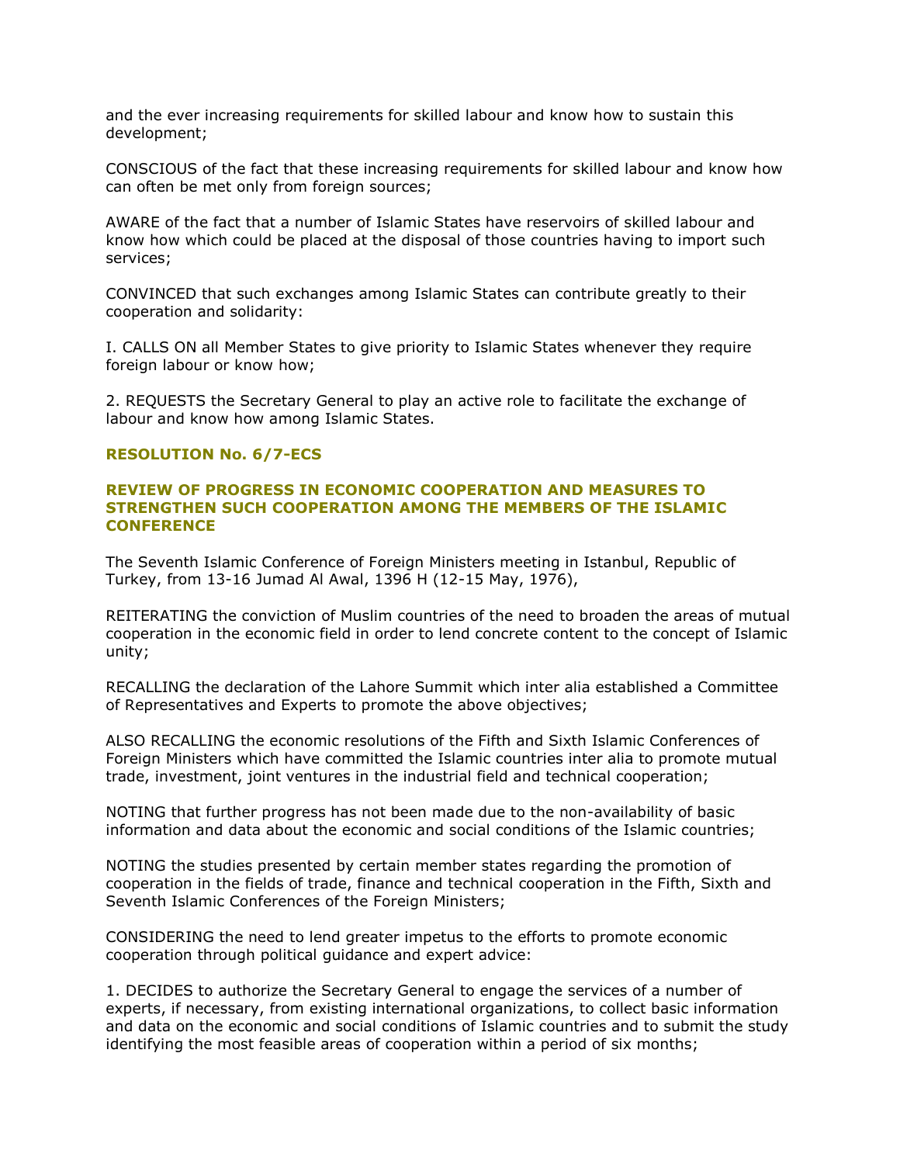and the ever increasing requirements for skilled labour and know how to sustain this development;

CONSCIOUS of the fact that these increasing requirements for skilled labour and know how can often be met only from foreign sources;

AWARE of the fact that a number of Islamic States have reservoirs of skilled labour and know how which could be placed at the disposal of those countries having to import such services;

CONVINCED that such exchanges among Islamic States can contribute greatly to their cooperation and solidarity:

I. CALLS ON all Member States to give priority to Islamic States whenever they require foreign labour or know how;

2. REQUESTS the Secretary General to play an active role to facilitate the exchange of labour and know how among Islamic States.

## **RESOLUTION No. 6/7-ECS**

## **REVIEW OF PROGRESS IN ECONOMIC COOPERATION AND MEASURES TO STRENGTHEN SUCH COOPERATION AMONG THE MEMBERS OF THE ISLAMIC CONFERENCE**

The Seventh Islamic Conference of Foreign Ministers meeting in Istanbul, Republic of Turkey, from 13-16 Jumad Al Awal, 1396 H (12-15 May, 1976),

REITERATING the conviction of Muslim countries of the need to broaden the areas of mutual cooperation in the economic field in order to lend concrete content to the concept of Islamic unity;

RECALLING the declaration of the Lahore Summit which inter alia established a Committee of Representatives and Experts to promote the above objectives;

ALSO RECALLING the economic resolutions of the Fifth and Sixth Islamic Conferences of Foreign Ministers which have committed the Islamic countries inter alia to promote mutual trade, investment, joint ventures in the industrial field and technical cooperation;

NOTING that further progress has not been made due to the non-availability of basic information and data about the economic and social conditions of the Islamic countries;

NOTING the studies presented by certain member states regarding the promotion of cooperation in the fields of trade, finance and technical cooperation in the Fifth, Sixth and Seventh Islamic Conferences of the Foreign Ministers;

CONSIDERING the need to lend greater impetus to the efforts to promote economic cooperation through political guidance and expert advice:

1. DECIDES to authorize the Secretary General to engage the services of a number of experts, if necessary, from existing international organizations, to collect basic information and data on the economic and social conditions of Islamic countries and to submit the study identifying the most feasible areas of cooperation within a period of six months;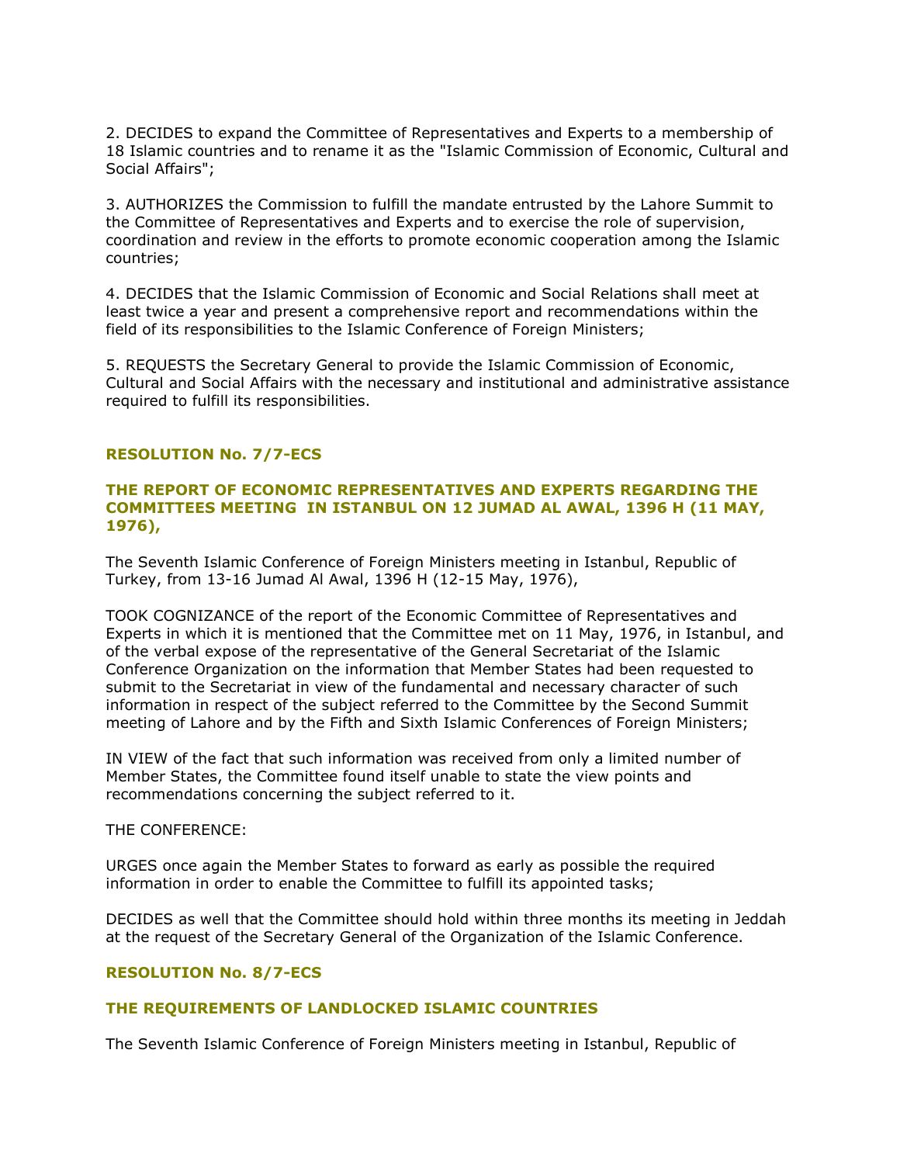2. DECIDES to expand the Committee of Representatives and Experts to a membership of 18 Islamic countries and to rename it as the "Islamic Commission of Economic, Cultural and Social Affairs";

3. AUTHORIZES the Commission to fulfill the mandate entrusted by the Lahore Summit to the Committee of Representatives and Experts and to exercise the role of supervision, coordination and review in the efforts to promote economic cooperation among the Islamic countries;

4. DECIDES that the Islamic Commission of Economic and Social Relations shall meet at least twice a year and present a comprehensive report and recommendations within the field of its responsibilities to the Islamic Conference of Foreign Ministers;

5. REQUESTS the Secretary General to provide the Islamic Commission of Economic, Cultural and Social Affairs with the necessary and institutional and administrative assistance required to fulfill its responsibilities.

#### **RESOLUTION No. 7/7-ECS**

## **THE REPORT OF ECONOMIC REPRESENTATIVES AND EXPERTS REGARDING THE COMMITTEES MEETING IN ISTANBUL ON 12 JUMAD AL AWAL, 1396 H (11 MAY, 1976),**

The Seventh Islamic Conference of Foreign Ministers meeting in Istanbul, Republic of Turkey, from 13-16 Jumad Al Awal, 1396 H (12-15 May, 1976),

TOOK COGNIZANCE of the report of the Economic Committee of Representatives and Experts in which it is mentioned that the Committee met on 11 May, 1976, in Istanbul, and of the verbal expose of the representative of the General Secretariat of the Islamic Conference Organization on the information that Member States had been requested to submit to the Secretariat in view of the fundamental and necessary character of such information in respect of the subject referred to the Committee by the Second Summit meeting of Lahore and by the Fifth and Sixth Islamic Conferences of Foreign Ministers;

IN VIEW of the fact that such information was received from only a limited number of Member States, the Committee found itself unable to state the view points and recommendations concerning the subject referred to it.

# THE CONFERENCE:

URGES once again the Member States to forward as early as possible the required information in order to enable the Committee to fulfill its appointed tasks;

DECIDES as well that the Committee should hold within three months its meeting in Jeddah at the request of the Secretary General of the Organization of the Islamic Conference.

## **RESOLUTION No. 8/7-ECS**

## **THE REQUIREMENTS OF LANDLOCKED ISLAMIC COUNTRIES**

The Seventh Islamic Conference of Foreign Ministers meeting in Istanbul, Republic of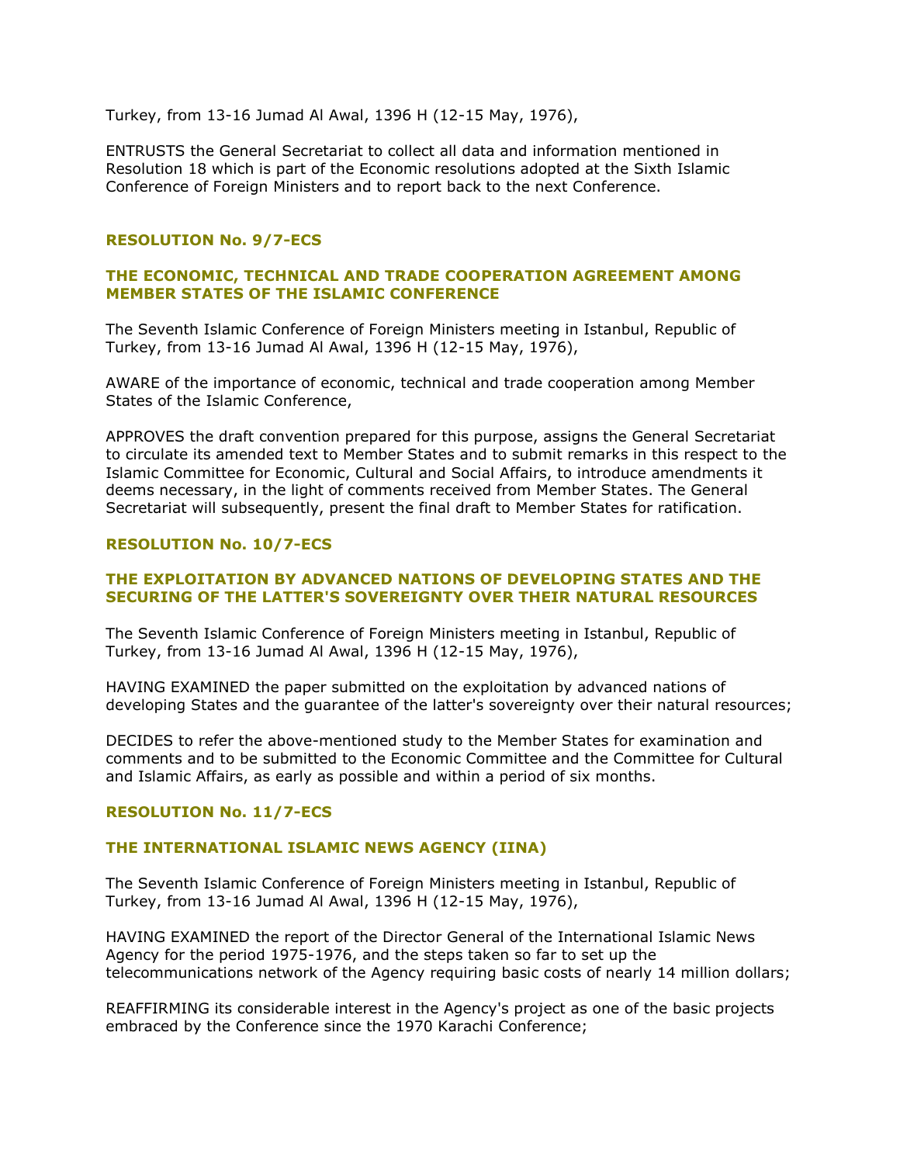Turkey, from 13-16 Jumad Al Awal, 1396 H (12-15 May, 1976),

ENTRUSTS the General Secretariat to collect all data and information mentioned in Resolution 18 which is part of the Economic resolutions adopted at the Sixth Islamic Conference of Foreign Ministers and to report back to the next Conference.

## **RESOLUTION No. 9/7-ECS**

# **THE ECONOMIC, TECHNICAL AND TRADE COOPERATION AGREEMENT AMONG MEMBER STATES OF THE ISLAMIC CONFERENCE**

The Seventh Islamic Conference of Foreign Ministers meeting in Istanbul, Republic of Turkey, from 13-16 Jumad Al Awal, 1396 H (12-15 May, 1976),

AWARE of the importance of economic, technical and trade cooperation among Member States of the Islamic Conference,

APPROVES the draft convention prepared for this purpose, assigns the General Secretariat to circulate its amended text to Member States and to submit remarks in this respect to the Islamic Committee for Economic, Cultural and Social Affairs, to introduce amendments it deems necessary, in the light of comments received from Member States. The General Secretariat will subsequently, present the final draft to Member States for ratification.

## **RESOLUTION No. 10/7-ECS**

## **THE EXPLOITATION BY ADVANCED NATIONS OF DEVELOPING STATES AND THE SECURING OF THE LATTER'S SOVEREIGNTY OVER THEIR NATURAL RESOURCES**

The Seventh Islamic Conference of Foreign Ministers meeting in Istanbul, Republic of Turkey, from 13-16 Jumad Al Awal, 1396 H (12-15 May, 1976),

HAVING EXAMINED the paper submitted on the exploitation by advanced nations of developing States and the guarantee of the latter's sovereignty over their natural resources;

DECIDES to refer the above-mentioned study to the Member States for examination and comments and to be submitted to the Economic Committee and the Committee for Cultural and Islamic Affairs, as early as possible and within a period of six months.

## **RESOLUTION No. 11/7-ECS**

## **THE INTERNATIONAL ISLAMIC NEWS AGENCY (IINA)**

The Seventh Islamic Conference of Foreign Ministers meeting in Istanbul, Republic of Turkey, from 13-16 Jumad Al Awal, 1396 H (12-15 May, 1976),

HAVING EXAMINED the report of the Director General of the International Islamic News Agency for the period 1975-1976, and the steps taken so far to set up the telecommunications network of the Agency requiring basic costs of nearly 14 million dollars;

REAFFIRMING its considerable interest in the Agency's project as one of the basic projects embraced by the Conference since the 1970 Karachi Conference;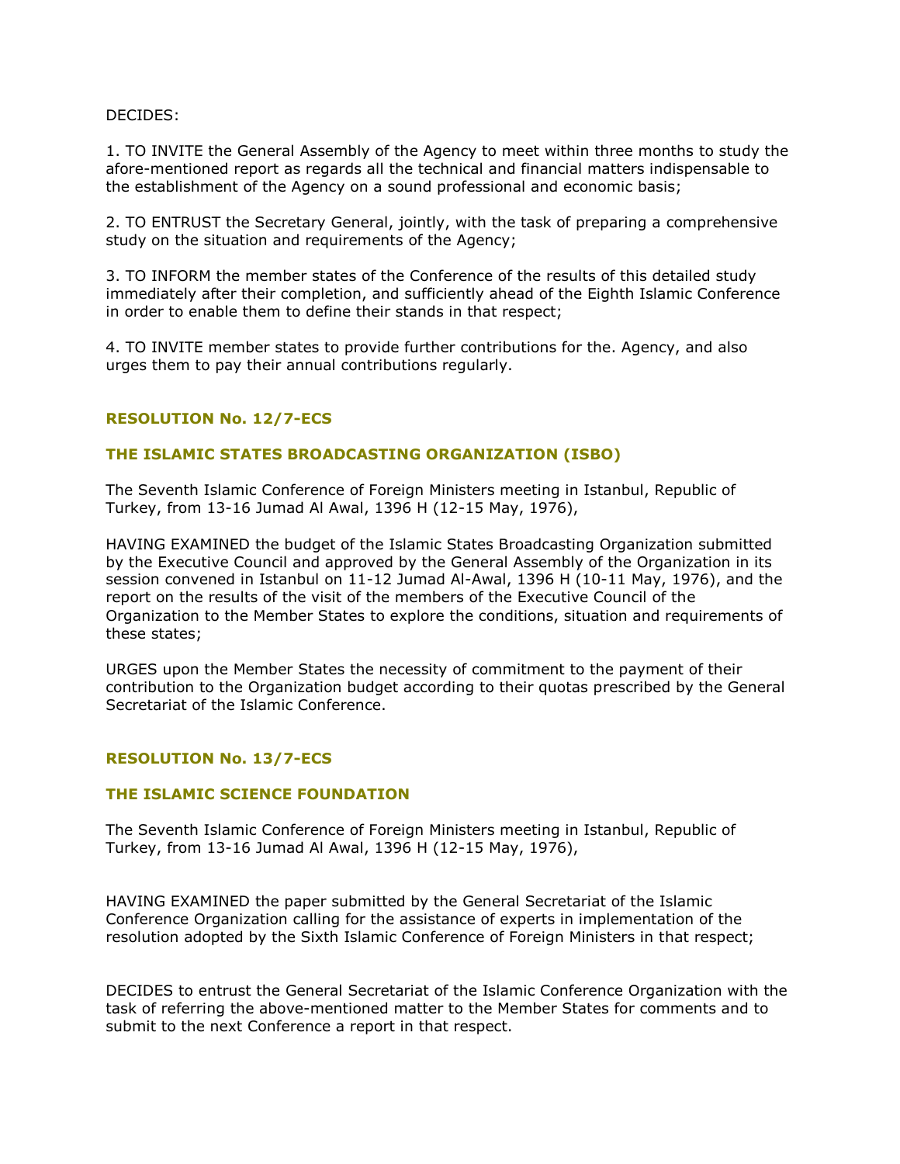## DECIDES:

1. TO INVITE the General Assembly of the Agency to meet within three months to study the afore-mentioned report as regards all the technical and financial matters indispensable to the establishment of the Agency on a sound professional and economic basis;

2. TO ENTRUST the Secretary General, jointly, with the task of preparing a comprehensive study on the situation and requirements of the Agency;

3. TO INFORM the member states of the Conference of the results of this detailed study immediately after their completion, and sufficiently ahead of the Eighth Islamic Conference in order to enable them to define their stands in that respect;

4. TO INVITE member states to provide further contributions for the. Agency, and also urges them to pay their annual contributions regularly.

# **RESOLUTION No. 12/7-ECS**

## **THE ISLAMIC STATES BROADCASTING ORGANIZATION (ISBO)**

The Seventh Islamic Conference of Foreign Ministers meeting in Istanbul, Republic of Turkey, from 13-16 Jumad Al Awal, 1396 H (12-15 May, 1976),

HAVING EXAMINED the budget of the Islamic States Broadcasting Organization submitted by the Executive Council and approved by the General Assembly of the Organization in its session convened in Istanbul on 11-12 Jumad Al-Awal, 1396 H (10-11 May, 1976), and the report on the results of the visit of the members of the Executive Council of the Organization to the Member States to explore the conditions, situation and requirements of these states;

URGES upon the Member States the necessity of commitment to the payment of their contribution to the Organization budget according to their quotas prescribed by the General Secretariat of the Islamic Conference.

## **RESOLUTION No. 13/7-ECS**

# **THE ISLAMIC SCIENCE FOUNDATION**

The Seventh Islamic Conference of Foreign Ministers meeting in Istanbul, Republic of Turkey, from 13-16 Jumad Al Awal, 1396 H (12-15 May, 1976),

HAVING EXAMINED the paper submitted by the General Secretariat of the Islamic Conference Organization calling for the assistance of experts in implementation of the resolution adopted by the Sixth Islamic Conference of Foreign Ministers in that respect;

DECIDES to entrust the General Secretariat of the Islamic Conference Organization with the task of referring the above-mentioned matter to the Member States for comments and to submit to the next Conference a report in that respect.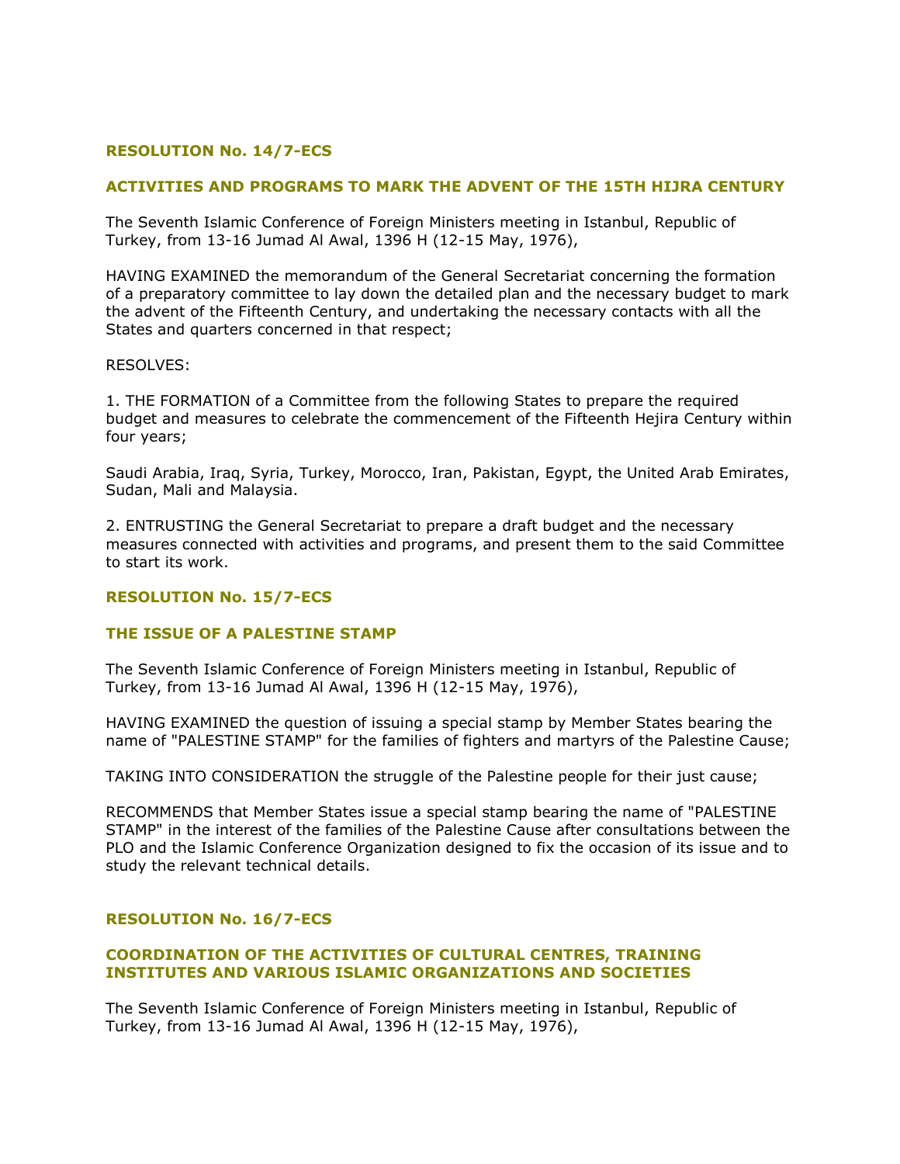# **RESOLUTION No. 14/7-ECS**

# **ACTIVITIES AND PROGRAMS TO MARK THE ADVENT OF THE 15TH HIJRA CENTURY**

The Seventh Islamic Conference of Foreign Ministers meeting in Istanbul, Republic of Turkey, from 13-16 Jumad Al Awal, 1396 H (12-15 May, 1976),

HAVING EXAMINED the memorandum of the General Secretariat concerning the formation of a preparatory committee to lay down the detailed plan and the necessary budget to mark the advent of the Fifteenth Century, and undertaking the necessary contacts with all the States and quarters concerned in that respect;

#### RESOLVES:

1. THE FORMATION of a Committee from the following States to prepare the required budget and measures to celebrate the commencement of the Fifteenth Hejira Century within four years;

Saudi Arabia, Iraq, Syria, Turkey, Morocco, Iran, Pakistan, Egypt, the United Arab Emirates, Sudan, Mali and Malaysia.

2. ENTRUSTING the General Secretariat to prepare a draft budget and the necessary measures connected with activities and programs, and present them to the said Committee to start its work.

## **RESOLUTION No. 15/7-ECS**

## **THE ISSUE OF A PALESTINE STAMP**

The Seventh Islamic Conference of Foreign Ministers meeting in Istanbul, Republic of Turkey, from 13-16 Jumad Al Awal, 1396 H (12-15 May, 1976),

HAVING EXAMINED the question of issuing a special stamp by Member States bearing the name of "PALESTINE STAMP" for the families of fighters and martyrs of the Palestine Cause;

TAKING INTO CONSIDERATION the struggle of the Palestine people for their just cause;

RECOMMENDS that Member States issue a special stamp bearing the name of "PALESTINE STAMP" in the interest of the families of the Palestine Cause after consultations between the PLO and the Islamic Conference Organization designed to fix the occasion of its issue and to study the relevant technical details.

## **RESOLUTION No. 16/7-ECS**

# **COORDINATION OF THE ACTIVITIES OF CULTURAL CENTRES, TRAINING INSTITUTES AND VARIOUS ISLAMIC ORGANIZATIONS AND SOCIETIES**

The Seventh Islamic Conference of Foreign Ministers meeting in Istanbul, Republic of Turkey, from 13-16 Jumad Al Awal, 1396 H (12-15 May, 1976),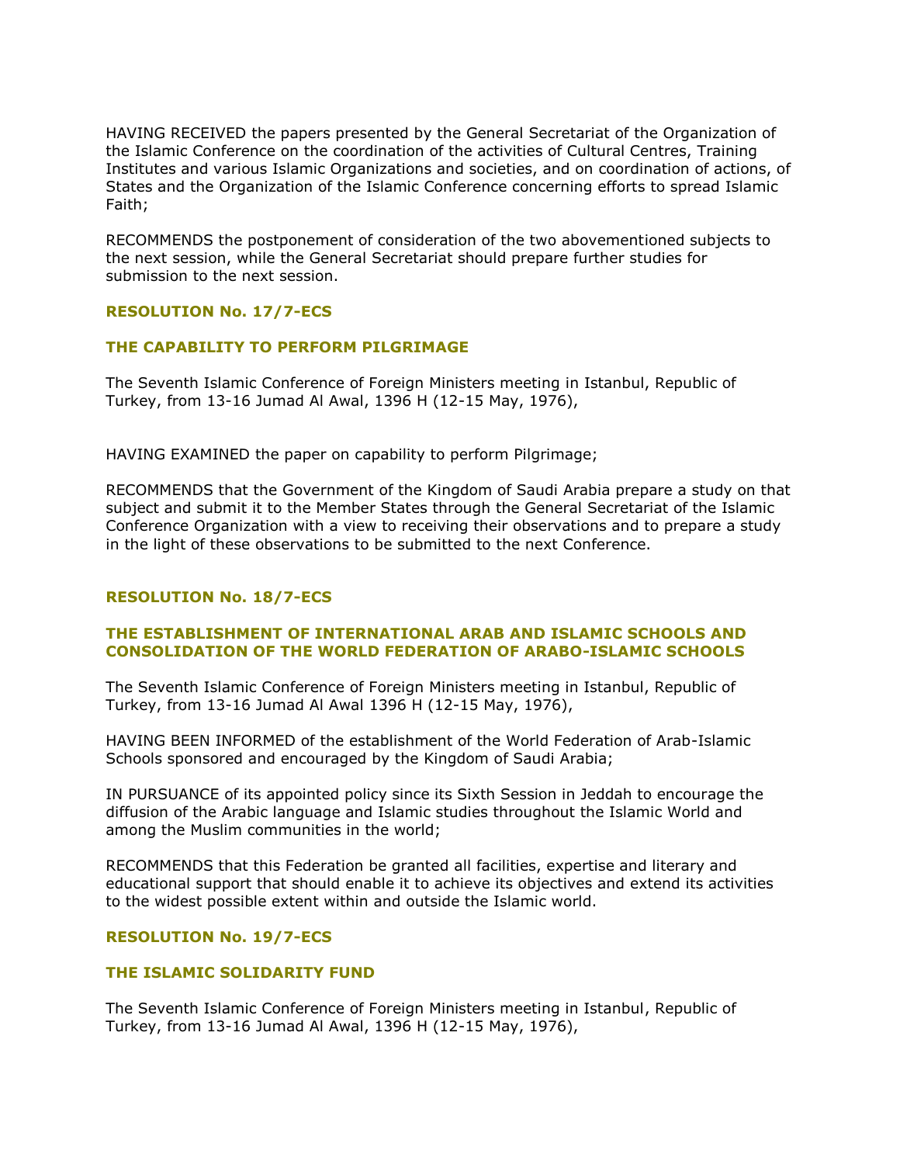HAVING RECEIVED the papers presented by the General Secretariat of the Organization of the Islamic Conference on the coordination of the activities of Cultural Centres, Training Institutes and various Islamic Organizations and societies, and on coordination of actions, of States and the Organization of the Islamic Conference concerning efforts to spread Islamic Faith;

RECOMMENDS the postponement of consideration of the two abovementioned subjects to the next session, while the General Secretariat should prepare further studies for submission to the next session.

# **RESOLUTION No. 17/7-ECS**

# **THE CAPABILITY TO PERFORM PILGRIMAGE**

The Seventh Islamic Conference of Foreign Ministers meeting in Istanbul, Republic of Turkey, from 13-16 Jumad Al Awal, 1396 H (12-15 May, 1976),

HAVING EXAMINED the paper on capability to perform Pilgrimage;

RECOMMENDS that the Government of the Kingdom of Saudi Arabia prepare a study on that subject and submit it to the Member States through the General Secretariat of the Islamic Conference Organization with a view to receiving their observations and to prepare a study in the light of these observations to be submitted to the next Conference.

# **RESOLUTION No. 18/7-ECS**

# **THE ESTABLISHMENT OF INTERNATIONAL ARAB AND ISLAMIC SCHOOLS AND CONSOLIDATION OF THE WORLD FEDERATION OF ARABO-ISLAMIC SCHOOLS**

The Seventh Islamic Conference of Foreign Ministers meeting in Istanbul, Republic of Turkey, from 13-16 Jumad Al Awal 1396 H (12-15 May, 1976),

HAVING BEEN INFORMED of the establishment of the World Federation of Arab-Islamic Schools sponsored and encouraged by the Kingdom of Saudi Arabia;

IN PURSUANCE of its appointed policy since its Sixth Session in Jeddah to encourage the diffusion of the Arabic language and Islamic studies throughout the Islamic World and among the Muslim communities in the world;

RECOMMENDS that this Federation be granted all facilities, expertise and literary and educational support that should enable it to achieve its objectives and extend its activities to the widest possible extent within and outside the Islamic world.

# **RESOLUTION No. 19/7-ECS**

# **THE ISLAMIC SOLIDARITY FUND**

The Seventh Islamic Conference of Foreign Ministers meeting in Istanbul, Republic of Turkey, from 13-16 Jumad Al Awal, 1396 H (12-15 May, 1976),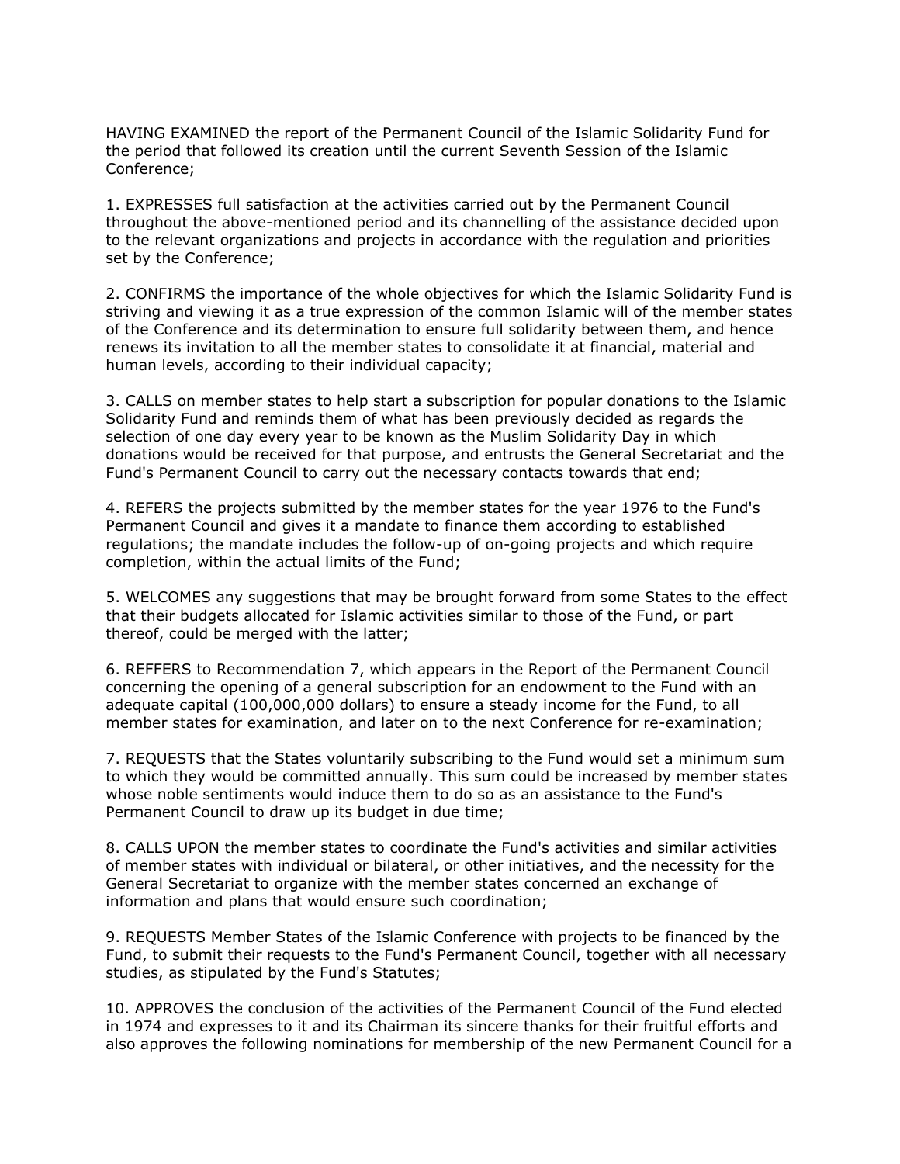HAVING EXAMINED the report of the Permanent Council of the Islamic Solidarity Fund for the period that followed its creation until the current Seventh Session of the Islamic Conference;

1. EXPRESSES full satisfaction at the activities carried out by the Permanent Council throughout the above-mentioned period and its channelling of the assistance decided upon to the relevant organizations and projects in accordance with the regulation and priorities set by the Conference;

2. CONFIRMS the importance of the whole objectives for which the Islamic Solidarity Fund is striving and viewing it as a true expression of the common Islamic will of the member states of the Conference and its determination to ensure full solidarity between them, and hence renews its invitation to all the member states to consolidate it at financial, material and human levels, according to their individual capacity;

3. CALLS on member states to help start a subscription for popular donations to the Islamic Solidarity Fund and reminds them of what has been previously decided as regards the selection of one day every year to be known as the Muslim Solidarity Day in which donations would be received for that purpose, and entrusts the General Secretariat and the Fund's Permanent Council to carry out the necessary contacts towards that end;

4. REFERS the projects submitted by the member states for the year 1976 to the Fund's Permanent Council and gives it a mandate to finance them according to established regulations; the mandate includes the follow-up of on-going projects and which require completion, within the actual limits of the Fund;

5. WELCOMES any suggestions that may be brought forward from some States to the effect that their budgets allocated for Islamic activities similar to those of the Fund, or part thereof, could be merged with the latter;

6. REFFERS to Recommendation 7, which appears in the Report of the Permanent Council concerning the opening of a general subscription for an endowment to the Fund with an adequate capital (100,000,000 dollars) to ensure a steady income for the Fund, to all member states for examination, and later on to the next Conference for re-examination;

7. REQUESTS that the States voluntarily subscribing to the Fund would set a minimum sum to which they would be committed annually. This sum could be increased by member states whose noble sentiments would induce them to do so as an assistance to the Fund's Permanent Council to draw up its budget in due time;

8. CALLS UPON the member states to coordinate the Fund's activities and similar activities of member states with individual or bilateral, or other initiatives, and the necessity for the General Secretariat to organize with the member states concerned an exchange of information and plans that would ensure such coordination;

9. REQUESTS Member States of the Islamic Conference with projects to be financed by the Fund, to submit their requests to the Fund's Permanent Council, together with all necessary studies, as stipulated by the Fund's Statutes;

10. APPROVES the conclusion of the activities of the Permanent Council of the Fund elected in 1974 and expresses to it and its Chairman its sincere thanks for their fruitful efforts and also approves the following nominations for membership of the new Permanent Council for a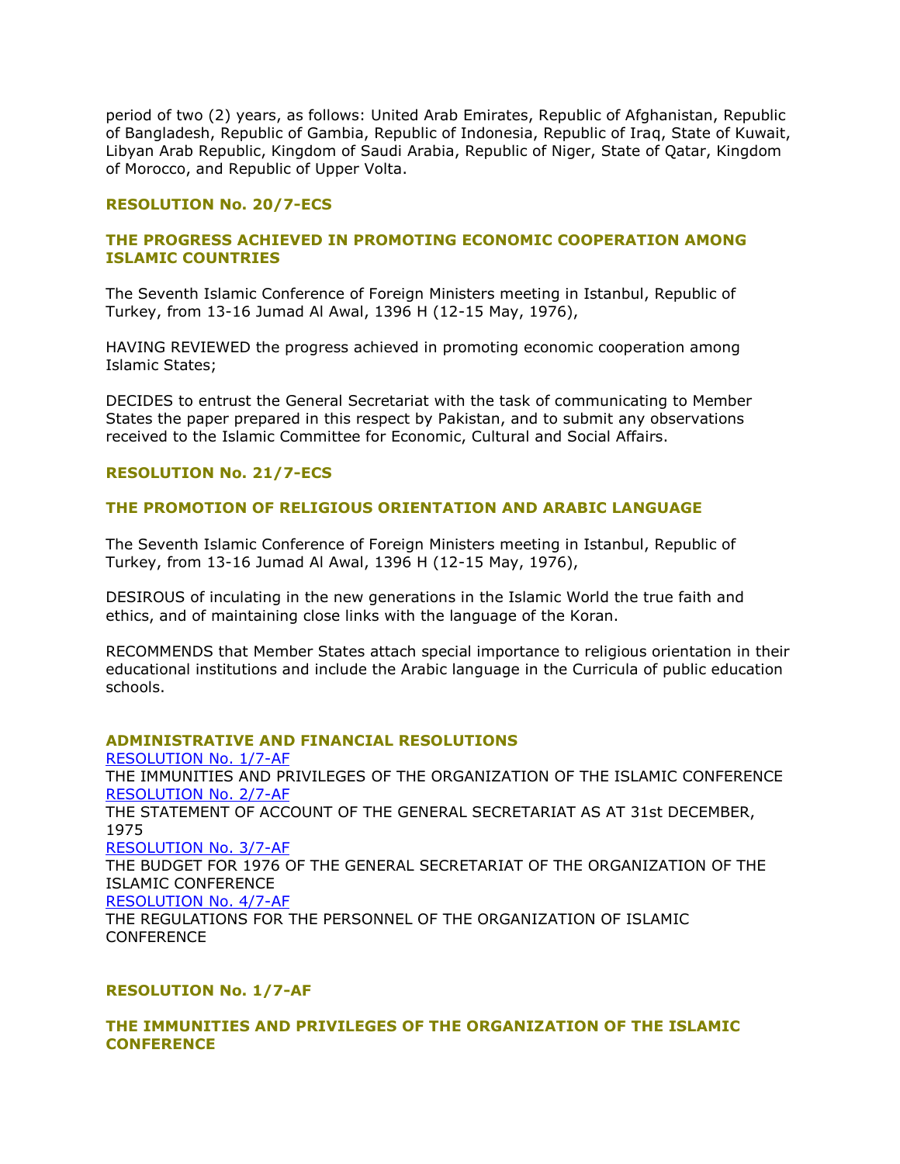period of two (2) years, as follows: United Arab Emirates, Republic of Afghanistan, Republic of Bangladesh, Republic of Gambia, Republic of Indonesia, Republic of Iraq, State of Kuwait, Libyan Arab Republic, Kingdom of Saudi Arabia, Republic of Niger, State of Qatar, Kingdom of Morocco, and Republic of Upper Volta.

# **RESOLUTION No. 20/7-ECS**

# **THE PROGRESS ACHIEVED IN PROMOTING ECONOMIC COOPERATION AMONG ISLAMIC COUNTRIES**

The Seventh Islamic Conference of Foreign Ministers meeting in Istanbul, Republic of Turkey, from 13-16 Jumad Al Awal, 1396 H (12-15 May, 1976),

HAVING REVIEWED the progress achieved in promoting economic cooperation among Islamic States;

DECIDES to entrust the General Secretariat with the task of communicating to Member States the paper prepared in this respect by Pakistan, and to submit any observations received to the Islamic Committee for Economic, Cultural and Social Affairs.

# **RESOLUTION No. 21/7-ECS**

# **THE PROMOTION OF RELIGIOUS ORIENTATION AND ARABIC LANGUAGE**

The Seventh Islamic Conference of Foreign Ministers meeting in Istanbul, Republic of Turkey, from 13-16 Jumad Al Awal, 1396 H (12-15 May, 1976),

DESIROUS of inculating in the new generations in the Islamic World the true faith and ethics, and of maintaining close links with the language of the Koran.

RECOMMENDS that Member States attach special importance to religious orientation in their educational institutions and include the Arabic language in the Curricula of public education schools.

## **ADMINISTRATIVE AND FINANCIAL RESOLUTIONS**

[RESOLUTION No. 1/7-AF](http://ww1.oic-oci.org/english/conf/fm/All%20Download/Frm.07.htm#RESOLUTION%20No.%201/7-AF) THE IMMUNITIES AND PRIVILEGES OF THE ORGANIZATION OF THE ISLAMIC CONFERENCE [RESOLUTION No. 2/7-AF](http://ww1.oic-oci.org/english/conf/fm/All%20Download/Frm.07.htm#RESOLUTION%20No.%202/7-AF) THE STATEMENT OF ACCOUNT OF THE GENERAL SECRETARIAT AS AT 31st DECEMBER, 1975 [RESOLUTION No. 3/7-AF](http://ww1.oic-oci.org/english/conf/fm/All%20Download/Frm.07.htm#RESOLUTION%20No.%203/7-AF) THE BUDGET FOR 1976 OF THE GENERAL SECRETARIAT OF THE ORGANIZATION OF THE ISLAMIC CONFERENCE [RESOLUTION No. 4/7-AF](http://ww1.oic-oci.org/english/conf/fm/All%20Download/Frm.07.htm#RESOLUTION%20No.%204/7-AF) THE REGULATIONS FOR THE PERSONNEL OF THE ORGANIZATION OF ISLAMIC **CONFERENCE** 

## **RESOLUTION No. 1/7-AF**

# **THE IMMUNITIES AND PRIVILEGES OF THE ORGANIZATION OF THE ISLAMIC CONFERENCE**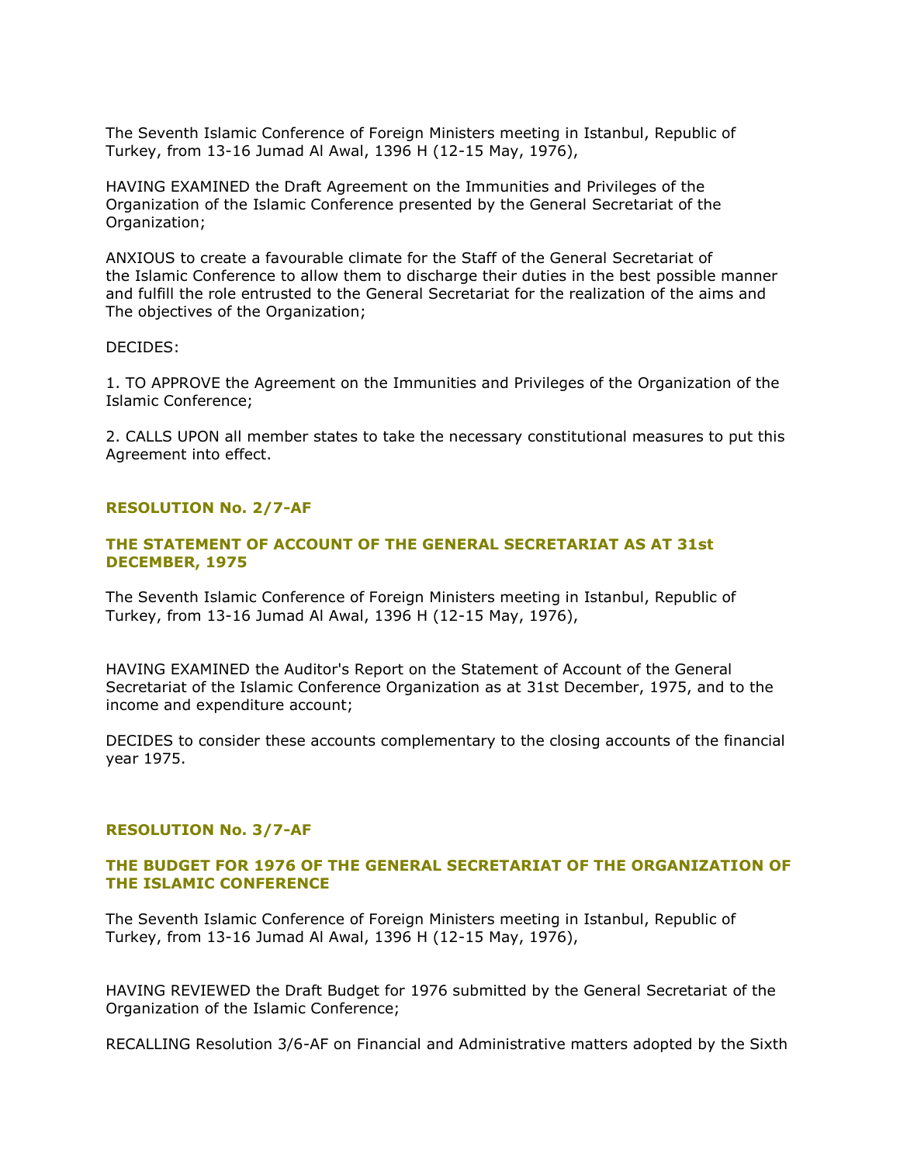The Seventh Islamic Conference of Foreign Ministers meeting in Istanbul, Republic of Turkey, from 13-16 Jumad Al Awal, 1396 H (12-15 May, 1976),

HAVING EXAMINED the Draft Agreement on the Immunities and Privileges of the Organization of the Islamic Conference presented by the General Secretariat of the Organization;

ANXIOUS to create a favourable climate for the Staff of the General Secretariat of the Islamic Conference to allow them to discharge their duties in the best possible manner and fulfill the role entrusted to the General Secretariat for the realization of the aims and The objectives of the Organization;

## DECIDES:

1. TO APPROVE the Agreement on the Immunities and Privileges of the Organization of the Islamic Conference;

2. CALLS UPON all member states to take the necessary constitutional measures to put this Agreement into effect.

## **RESOLUTION No. 2/7-AF**

# **THE STATEMENT OF ACCOUNT OF THE GENERAL SECRETARIAT AS AT 31st DECEMBER, 1975**

The Seventh Islamic Conference of Foreign Ministers meeting in Istanbul, Republic of Turkey, from 13-16 Jumad Al Awal, 1396 H (12-15 May, 1976),

HAVING EXAMINED the Auditor's Report on the Statement of Account of the General Secretariat of the Islamic Conference Organization as at 31st December, 1975, and to the income and expenditure account;

DECIDES to consider these accounts complementary to the closing accounts of the financial year 1975.

## **RESOLUTION No. 3/7-AF**

## **THE BUDGET FOR 1976 OF THE GENERAL SECRETARIAT OF THE ORGANIZATION OF THE ISLAMIC CONFERENCE**

The Seventh Islamic Conference of Foreign Ministers meeting in Istanbul, Republic of Turkey, from 13-16 Jumad Al Awal, 1396 H (12-15 May, 1976),

HAVING REVIEWED the Draft Budget for 1976 submitted by the General Secretariat of the Organization of the Islamic Conference;

RECALLING Resolution 3/6-AF on Financial and Administrative matters adopted by the Sixth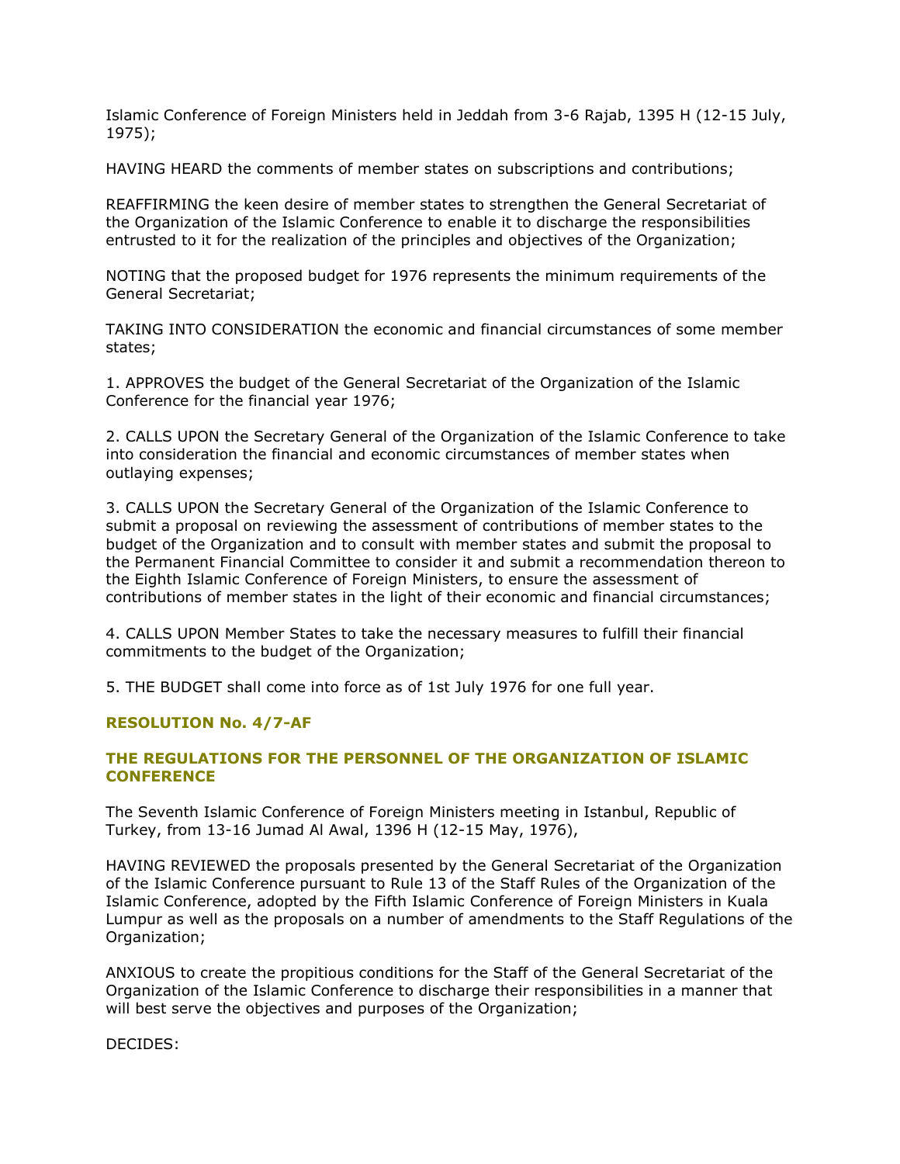Islamic Conference of Foreign Ministers held in Jeddah from 3-6 Rajab, 1395 H (12-15 July, 1975);

HAVING HEARD the comments of member states on subscriptions and contributions;

REAFFIRMING the keen desire of member states to strengthen the General Secretariat of the Organization of the Islamic Conference to enable it to discharge the responsibilities entrusted to it for the realization of the principles and objectives of the Organization;

NOTING that the proposed budget for 1976 represents the minimum requirements of the General Secretariat;

TAKING INTO CONSIDERATION the economic and financial circumstances of some member states;

1. APPROVES the budget of the General Secretariat of the Organization of the Islamic Conference for the financial year 1976;

2. CALLS UPON the Secretary General of the Organization of the Islamic Conference to take into consideration the financial and economic circumstances of member states when outlaying expenses;

3. CALLS UPON the Secretary General of the Organization of the Islamic Conference to submit a proposal on reviewing the assessment of contributions of member states to the budget of the Organization and to consult with member states and submit the proposal to the Permanent Financial Committee to consider it and submit a recommendation thereon to the Eighth Islamic Conference of Foreign Ministers, to ensure the assessment of contributions of member states in the light of their economic and financial circumstances;

4. CALLS UPON Member States to take the necessary measures to fulfill their financial commitments to the budget of the Organization;

5. THE BUDGET shall come into force as of 1st July 1976 for one full year.

## **RESOLUTION No. 4/7-AF**

# **THE REGULATIONS FOR THE PERSONNEL OF THE ORGANIZATION OF ISLAMIC CONFERENCE**

The Seventh Islamic Conference of Foreign Ministers meeting in Istanbul, Republic of Turkey, from 13-16 Jumad Al Awal, 1396 H (12-15 May, 1976),

HAVING REVIEWED the proposals presented by the General Secretariat of the Organization of the Islamic Conference pursuant to Rule 13 of the Staff Rules of the Organization of the Islamic Conference, adopted by the Fifth Islamic Conference of Foreign Ministers in Kuala Lumpur as well as the proposals on a number of amendments to the Staff Regulations of the Organization;

ANXIOUS to create the propitious conditions for the Staff of the General Secretariat of the Organization of the Islamic Conference to discharge their responsibilities in a manner that will best serve the objectives and purposes of the Organization;

DECIDES: